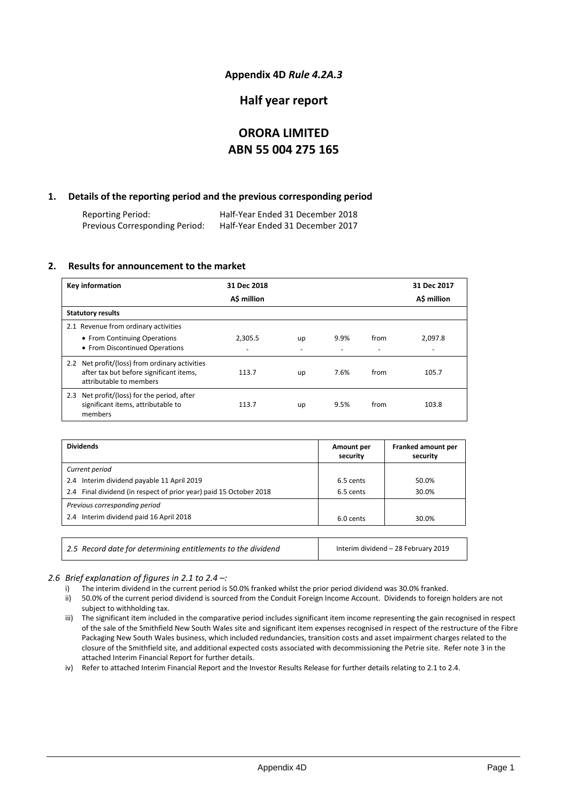### **Appendix 4D** *Rule 4.2A.3*

### **Half year report**

# **ORORA LIMITED ABN 55 004 275 165**

### **1. Details of the reporting period and the previous corresponding period**

Reporting Period: Half-Year Ended 31 December 2018 Half-Year Ended 31 December 2017

#### **2. Results for announcement to the market**

| <b>Key information</b>                                             | 31 Dec 2018 |    |      |      | 31 Dec 2017 |
|--------------------------------------------------------------------|-------------|----|------|------|-------------|
|                                                                    | A\$ million |    |      |      | A\$ million |
| <b>Statutory results</b>                                           |             |    |      |      |             |
| 2.1 Revenue from ordinary activities                               |             |    |      |      |             |
| • From Continuing Operations                                       | 2.305.5     | up | 9.9% | from | 2,097.8     |
| • From Discontinued Operations                                     |             |    |      |      |             |
| 2.2 Net profit/(loss) from ordinary activities                     |             |    | 7.6% |      |             |
| after tax but before significant items,<br>attributable to members | 113.7       | up |      | from | 105.7       |
| 2.3 Net profit/(loss) for the period, after                        |             |    |      |      |             |
| significant items, attributable to<br>members                      | 113.7       | up | 9.5% | from | 103.8       |

| <b>Dividends</b>                                                   | Amount per<br>security | Franked amount per<br>security |
|--------------------------------------------------------------------|------------------------|--------------------------------|
| Current period                                                     |                        |                                |
| 2.4 Interim dividend payable 11 April 2019                         | 6.5 cents              | 50.0%                          |
| 2.4 Final dividend (in respect of prior year) paid 15 October 2018 | 6.5 cents              | 30.0%                          |
| Previous corresponding period                                      |                        |                                |
| 2.4 Interim dividend paid 16 April 2018                            | 6.0 cents              | 30.0%                          |
|                                                                    |                        |                                |
|                                                                    |                        |                                |

#### *2.6 Brief explanation of figures in 2.1 to 2.4 –:*

i) The interim dividend in the current period is 50.0% franked whilst the prior period dividend was 30.0% franked.

2.5 Record date for determining entitlements to the dividend **Interim dividend – 28 February 2019** 

- ii) 50.0% of the current period dividend is sourced from the Conduit Foreign Income Account. Dividends to foreign holders are not subject to withholding tax.
- iii) The significant item included in the comparative period includes significant item income representing the gain recognised in respect of the sale of the Smithfield New South Wales site and significant item expenses recognised in respect of the restructure of the Fibre Packaging New South Wales business, which included redundancies, transition costs and asset impairment charges related to the closure of the Smithfield site, and additional expected costs associated with decommissioning the Petrie site. Refer note 3 in the attached Interim Financial Report for further details.

iv) Refer to attached Interim Financial Report and the Investor Results Release for further details relating to 2.1 to 2.4.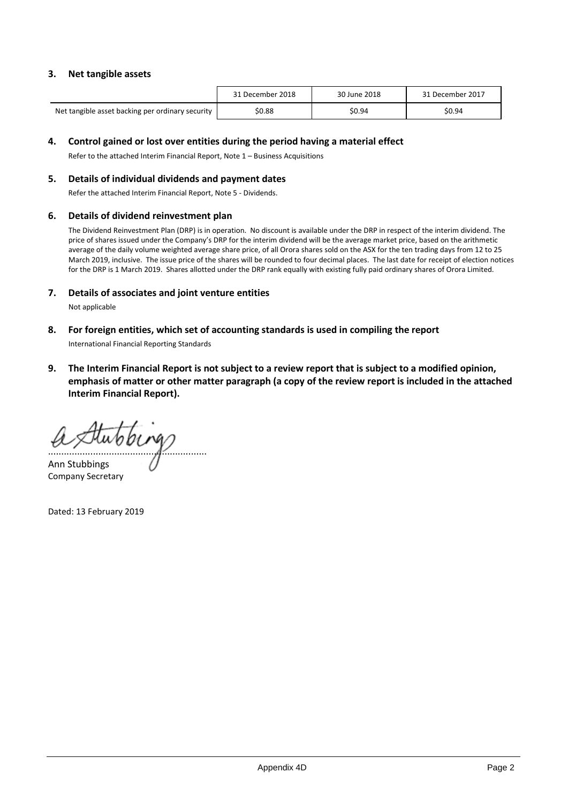### **3. Net tangible assets**

|                                                  | 31 December 2018 | 30 June 2018 | 31 December 2017 |
|--------------------------------------------------|------------------|--------------|------------------|
| Net tangible asset backing per ordinary security | \$0.88           | \$0.94       | \$0.94           |

#### **4. Control gained or lost over entities during the period having a material effect**

Refer to the attached Interim Financial Report, Note 1 – Business Acquisitions

#### **5. Details of individual dividends and payment dates**

Refer the attached Interim Financial Report, Note 5 - Dividends.

#### **6. Details of dividend reinvestment plan**

The Dividend Reinvestment Plan (DRP) is in operation. No discount is available under the DRP in respect of the interim dividend. The price of shares issued under the Company's DRP for the interim dividend will be the average market price, based on the arithmetic average of the daily volume weighted average share price, of all Orora shares sold on the ASX for the ten trading days from 12 to 25 March 2019, inclusive. The issue price of the shares will be rounded to four decimal places. The last date for receipt of election notices for the DRP is 1 March 2019. Shares allotted under the DRP rank equally with existing fully paid ordinary shares of Orora Limited.

#### **7. Details of associates and joint venture entities**

Not applicable

**8. For foreign entities, which set of accounting standards is used in compiling the report**

International Financial Reporting Standards

**9. The Interim Financial Report is not subject to a review report that is subject to a modified opinion, emphasis of matter or other matter paragraph (a copy of the review report is included in the attached Interim Financial Report).**

............................................................

Ann Stubbings Company Secretary

Dated: 13 February 2019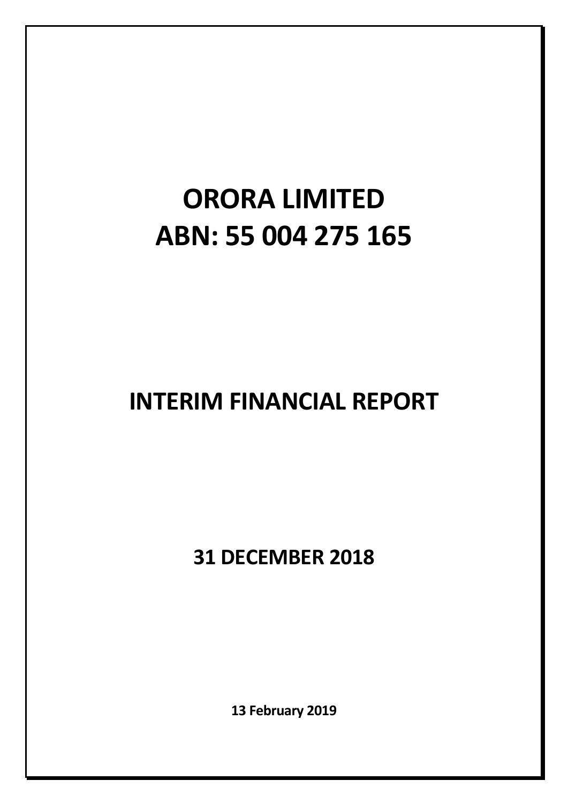# **ORORA LIMITED ABN: 55 004 275 165**

# **INTERIM FINANCIAL REPORT**

**31 DECEMBER 2018**

**13 February 2019**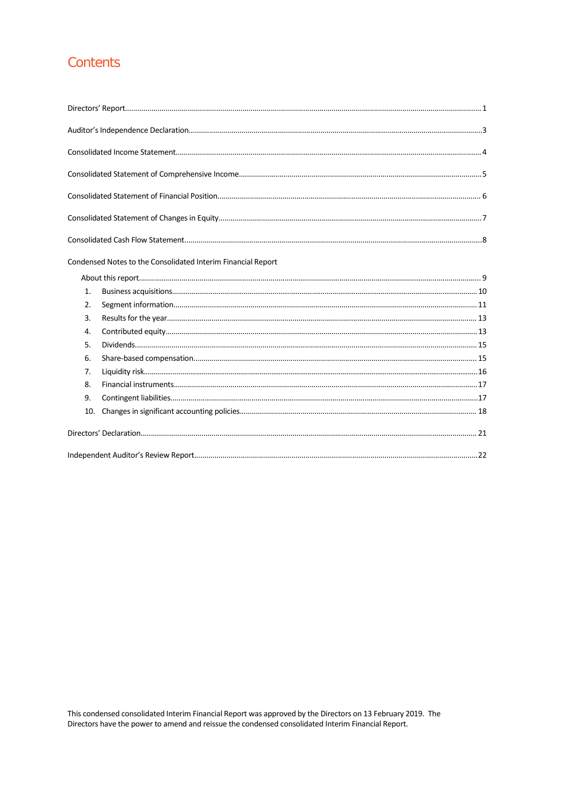# Contents

| Condensed Notes to the Consolidated Interim Financial Report |  |
|--------------------------------------------------------------|--|
|                                                              |  |

| 1.  |  |
|-----|--|
| 2.  |  |
| 3.  |  |
| 4.  |  |
| 5.  |  |
| 6.  |  |
| 7.  |  |
| 8.  |  |
| 9.  |  |
| 10. |  |
|     |  |
|     |  |

This condensed consolidated Interim Financial Report was approved by the Directors on 13 February 2019. The Directors have the power to amend and reissue the condensed consolidated Interim Financial Report.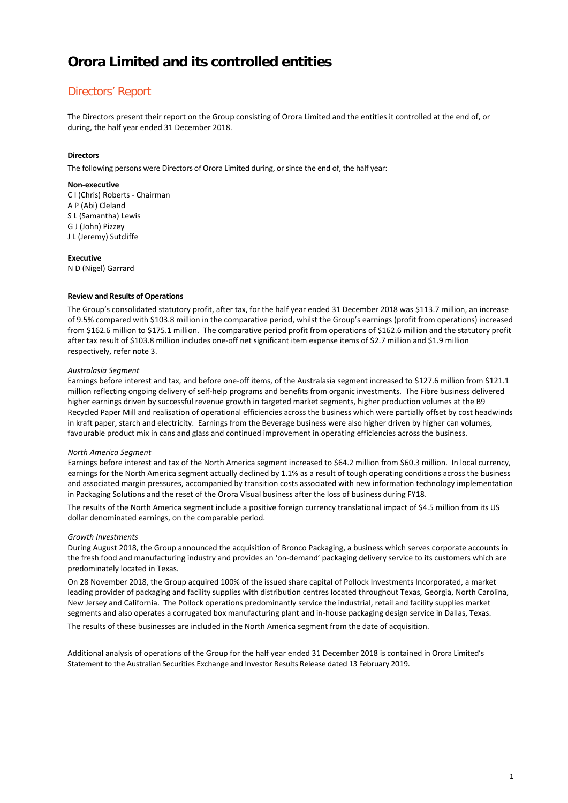# Directors' Report

The Directors present their report on the Group consisting of Orora Limited and the entities it controlled at the end of, or during, the half year ended 31 December 2018.

#### **Directors**

The following persons were Directors of Orora Limited during, or since the end of, the half year:

#### **Non-executive**

C I (Chris) Roberts - Chairman A P (Abi) Cleland S L (Samantha) Lewis G J (John) Pizzey J L (Jeremy) Sutcliffe

#### **Executive**

N D (Nigel) Garrard

#### **Review and Results of Operations**

The Group's consolidated statutory profit, after tax, for the half year ended 31 December 2018 was \$113.7 million, an increase of 9.5% compared with \$103.8 million in the comparative period, whilst the Group's earnings (profit from operations) increased from \$162.6 million to \$175.1 million. The comparative period profit from operations of \$162.6 million and the statutory profit after tax result of \$103.8 million includes one-off net significant item expense items of \$2.7 million and \$1.9 million respectively, refer note 3.

#### *Australasia Segment*

Earnings before interest and tax, and before one-off items, of the Australasia segment increased to \$127.6 million from \$121.1 million reflecting ongoing delivery of self-help programs and benefits from organic investments. The Fibre business delivered higher earnings driven by successful revenue growth in targeted market segments, higher production volumes at the B9 Recycled Paper Mill and realisation of operational efficiencies across the business which were partially offset by cost headwinds in kraft paper, starch and electricity. Earnings from the Beverage business were also higher driven by higher can volumes, favourable product mix in cans and glass and continued improvement in operating efficiencies across the business.

#### *North America Segment*

Earnings before interest and tax of the North America segment increased to \$64.2 million from \$60.3 million. In local currency, earnings for the North America segment actually declined by 1.1% as a result of tough operating conditions across the business and associated margin pressures, accompanied by transition costs associated with new information technology implementation in Packaging Solutions and the reset of the Orora Visual business after the loss of business during FY18.

The results of the North America segment include a positive foreign currency translational impact of \$4.5 million from its US dollar denominated earnings, on the comparable period.

#### *Growth Investments*

During August 2018, the Group announced the acquisition of Bronco Packaging, a business which serves corporate accounts in the fresh food and manufacturing industry and provides an 'on-demand' packaging delivery service to its customers which are predominately located in Texas.

On 28 November 2018, the Group acquired 100% of the issued share capital of Pollock Investments Incorporated, a market leading provider of packaging and facility supplies with distribution centres located throughout Texas, Georgia, North Carolina, New Jersey and California. The Pollock operations predominantly service the industrial, retail and facility supplies market segments and also operates a corrugated box manufacturing plant and in-house packaging design service in Dallas, Texas. The results of these businesses are included in the North America segment from the date of acquisition.

Additional analysis of operations of the Group for the half year ended 31 December 2018 is contained in Orora Limited's Statement to the Australian Securities Exchange and Investor Results Release dated 13 February 2019.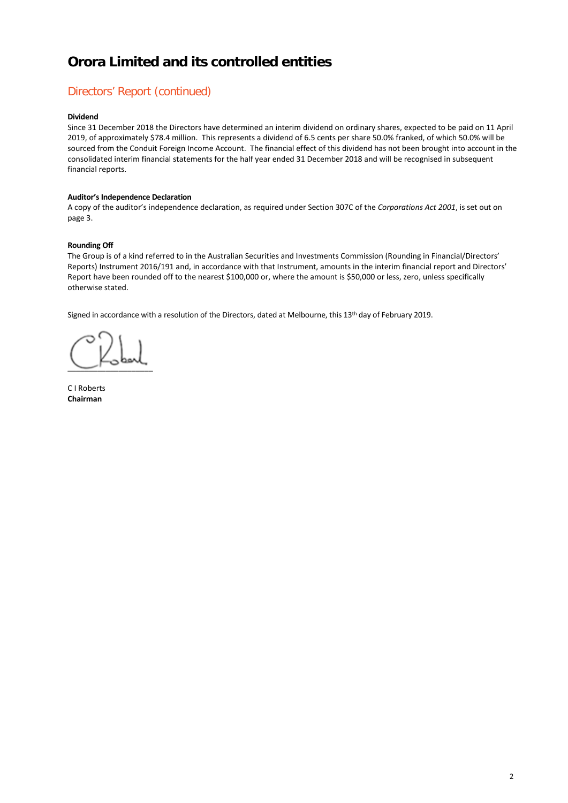# Directors' Report (continued)

#### **Dividend**

Since 31 December 2018 the Directors have determined an interim dividend on ordinary shares, expected to be paid on 11 April 2019, of approximately \$78.4 million. This represents a dividend of 6.5 cents per share 50.0% franked, of which 50.0% will be sourced from the Conduit Foreign Income Account. The financial effect of this dividend has not been brought into account in the consolidated interim financial statements for the half year ended 31 December 2018 and will be recognised in subsequent financial reports.

#### **Auditor's Independence Declaration**

A copy of the auditor's independence declaration, as required under Section 307C of the *Corporations Act 2001*, is set out on page 3.

#### **Rounding Off**

The Group is of a kind referred to in the Australian Securities and Investments Commission (Rounding in Financial/Directors' Reports) Instrument 2016/191 and, in accordance with that Instrument, amounts in the interim financial report and Directors' Report have been rounded off to the nearest \$100,000 or, where the amount is \$50,000 or less, zero, unless specifically otherwise stated.

Signed in accordance with a resolution of the Directors, dated at Melbourne, this 13<sup>th</sup> day of February 2019.

 $\sim$   $\sim$ 

C I Roberts **Chairman**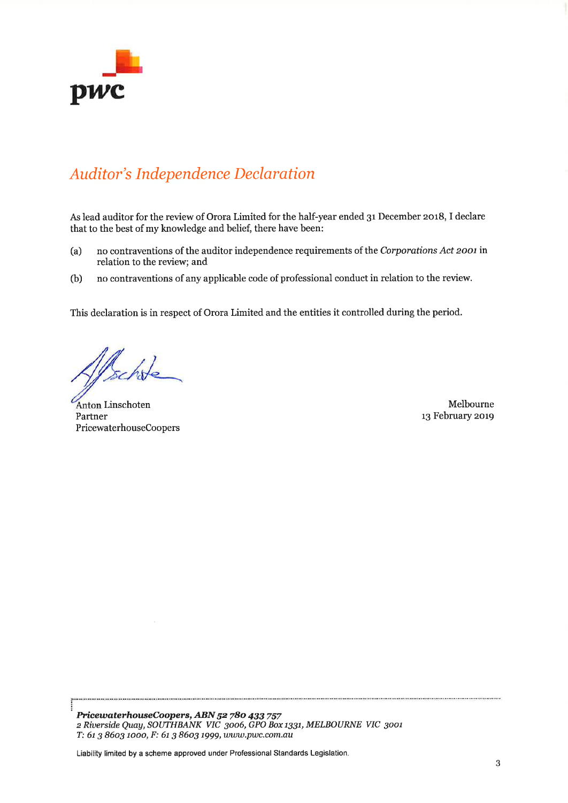

# Auditor's Independence Declaration

As lead auditor for the review of Orora Limited for the half-year ended 3r December 2018, I declare that to the best of my knowledge and belief, there have been:

- (a) no contraventions of the auditor independence requirements of the Corporations Act zoot in relation to the review; and
- (b) no contraventions of any applicable code of professional conduct in relation to the review.

This declaration is in respect of Orora Limited and the entities it controlled during the period.

Ischole

Linschoten Melbourne Partner 13 February 2019 PricewaterhouseCoopers

PricewaterhouseCoopers, ABN 52 780 433 757 z Riuerside QUay,SOWHBANK VIC 3oo6, GPO Box t33t, MELBOURNE VIC 3oot T: 61 3 8603 1000, F: 61 3 8603 1999, www.pwc.com.au

Liability limited by a scheme approved under Professional Standards Legislation.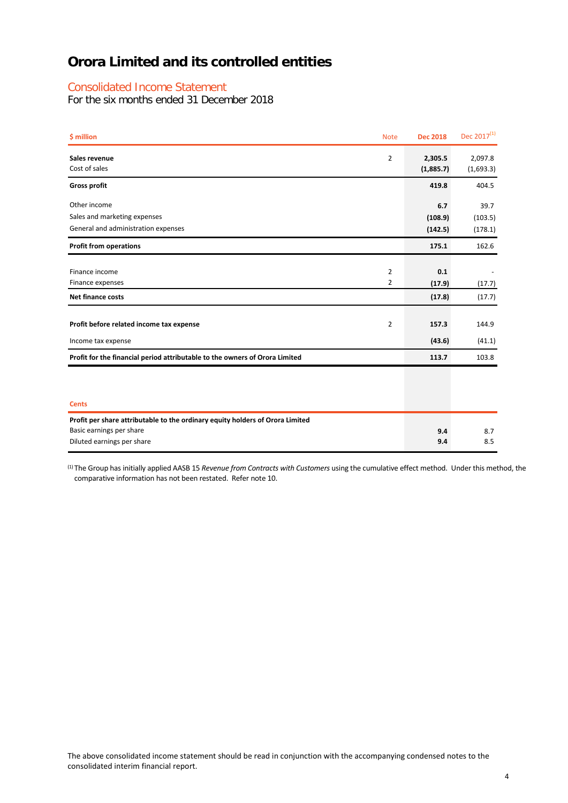### Consolidated Income Statement

For the six months ended 31 December 2018

| \$ million                                                                                                                              | <b>Note</b>    | <b>Dec 2018</b>      | Dec $2017^{(1)}$     |
|-----------------------------------------------------------------------------------------------------------------------------------------|----------------|----------------------|----------------------|
| Sales revenue<br>Cost of sales                                                                                                          | $\overline{2}$ | 2,305.5<br>(1,885.7) | 2,097.8<br>(1,693.3) |
| <b>Gross profit</b>                                                                                                                     |                | 419.8                | 404.5                |
| Other income                                                                                                                            |                | 6.7                  | 39.7                 |
| Sales and marketing expenses                                                                                                            |                | (108.9)              | (103.5)              |
| General and administration expenses                                                                                                     |                | (142.5)              | (178.1)              |
| <b>Profit from operations</b>                                                                                                           |                | 175.1                | 162.6                |
|                                                                                                                                         |                |                      |                      |
| Finance income                                                                                                                          | 2              | 0.1                  |                      |
| Finance expenses                                                                                                                        | 2              | (17.9)               | (17.7)               |
| <b>Net finance costs</b>                                                                                                                |                | (17.8)               | (17.7)               |
| Profit before related income tax expense                                                                                                | $\overline{2}$ | 157.3                | 144.9                |
| Income tax expense                                                                                                                      |                | (43.6)               | (41.1)               |
| Profit for the financial period attributable to the owners of Orora Limited                                                             |                | 113.7                | 103.8                |
|                                                                                                                                         |                |                      |                      |
| <b>Cents</b>                                                                                                                            |                |                      |                      |
| Profit per share attributable to the ordinary equity holders of Orora Limited<br>Basic earnings per share<br>Diluted earnings per share |                | 9.4<br>9.4           | 8.7<br>8.5           |

(1) The Group has initially applied AASB 15 *Revenue from Contracts with Customers* using the cumulative effect method. Under this method, the comparative information has not been restated. Refer note 10.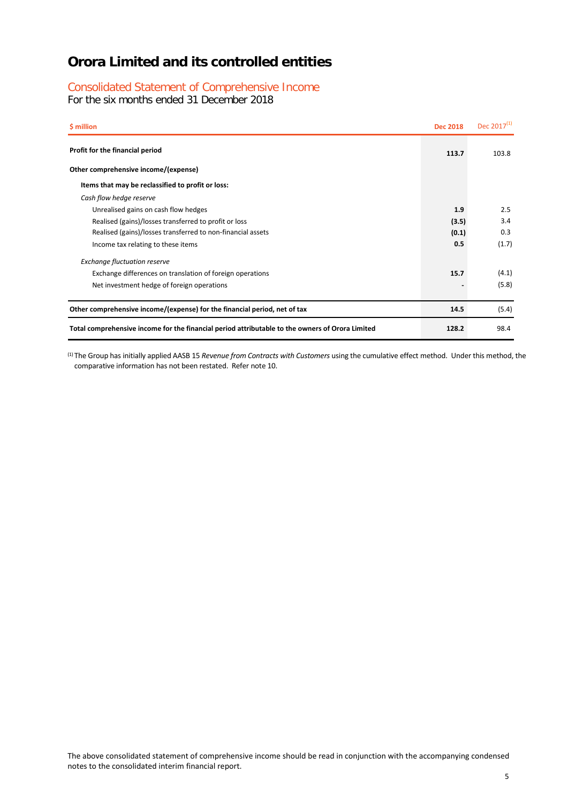### Consolidated Statement of Comprehensive Income

For the six months ended 31 December 2018

| \$ million                                                                                      | <b>Dec 2018</b> | Dec $2017^{(1)}$ |
|-------------------------------------------------------------------------------------------------|-----------------|------------------|
| Profit for the financial period                                                                 | 113.7           | 103.8            |
| Other comprehensive income/(expense)                                                            |                 |                  |
| Items that may be reclassified to profit or loss:                                               |                 |                  |
| Cash flow hedge reserve                                                                         |                 |                  |
| Unrealised gains on cash flow hedges                                                            | 1.9             | 2.5              |
| Realised (gains)/losses transferred to profit or loss                                           | (3.5)           | 3.4              |
| Realised (gains)/losses transferred to non-financial assets                                     | (0.1)           | 0.3              |
| Income tax relating to these items                                                              | 0.5             | (1.7)            |
| <b>Exchange fluctuation reserve</b>                                                             |                 |                  |
| Exchange differences on translation of foreign operations                                       | 15.7            | (4.1)            |
| Net investment hedge of foreign operations                                                      |                 | (5.8)            |
| Other comprehensive income/(expense) for the financial period, net of tax                       | 14.5            | (5.4)            |
| Total comprehensive income for the financial period attributable to the owners of Orora Limited | 128.2           | 98.4             |

(1) The Group has initially applied AASB 15 *Revenue from Contracts with Customers* using the cumulative effect method. Under this method, the comparative information has not been restated. Refer note 10.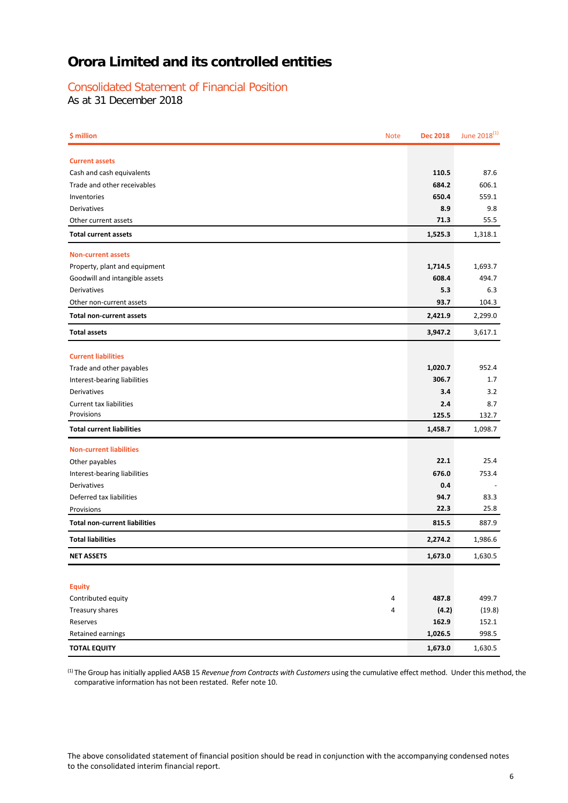### Consolidated Statement of Financial Position

As at 31 December 2018

| \$ million                           | <b>Note</b> | <b>Dec 2018</b> | June 2018 <sup>(1)</sup> |
|--------------------------------------|-------------|-----------------|--------------------------|
| <b>Current assets</b>                |             |                 |                          |
| Cash and cash equivalents            |             | 110.5           | 87.6                     |
| Trade and other receivables          |             | 684.2           | 606.1                    |
| Inventories                          |             | 650.4           | 559.1                    |
| Derivatives                          |             | 8.9             | 9.8                      |
| Other current assets                 |             | 71.3            | 55.5                     |
| <b>Total current assets</b>          |             | 1,525.3         | 1,318.1                  |
| <b>Non-current assets</b>            |             |                 |                          |
| Property, plant and equipment        |             | 1,714.5         | 1,693.7                  |
| Goodwill and intangible assets       |             | 608.4           | 494.7                    |
| Derivatives                          |             | 5.3             | 6.3                      |
| Other non-current assets             |             | 93.7            | 104.3                    |
| <b>Total non-current assets</b>      |             | 2,421.9         | 2,299.0                  |
| <b>Total assets</b>                  |             | 3,947.2         | 3,617.1                  |
| <b>Current liabilities</b>           |             |                 |                          |
| Trade and other payables             |             | 1,020.7         | 952.4                    |
| Interest-bearing liabilities         |             | 306.7           | 1.7                      |
| Derivatives                          |             | 3.4             | 3.2                      |
| <b>Current tax liabilities</b>       |             | 2.4             | 8.7                      |
| Provisions                           |             | 125.5           | 132.7                    |
| <b>Total current liabilities</b>     |             | 1,458.7         | 1,098.7                  |
| <b>Non-current liabilities</b>       |             |                 |                          |
| Other payables                       |             | 22.1            | 25.4                     |
| Interest-bearing liabilities         |             | 676.0           | 753.4                    |
| Derivatives                          |             | 0.4             |                          |
| Deferred tax liabilities             |             | 94.7            | 83.3                     |
| Provisions                           |             | 22.3            | 25.8                     |
| <b>Total non-current liabilities</b> |             | 815.5           | 887.9                    |
| <b>Total liabilities</b>             |             | 2,274.2         | 1,986.6                  |
| <b>NET ASSETS</b>                    |             | 1,673.0         | 1,630.5                  |
|                                      |             |                 |                          |
| <b>Equity</b>                        |             |                 |                          |
| Contributed equity                   | 4           | 487.8           | 499.7                    |
| Treasury shares                      | 4           | (4.2)           | (19.8)                   |
| Reserves                             |             | 162.9           | 152.1                    |
| Retained earnings                    |             | 1,026.5         | 998.5                    |
| <b>TOTAL EQUITY</b>                  |             | 1,673.0         | 1,630.5                  |

(1) The Group has initially applied AASB 15 *Revenue from Contracts with Customers* using the cumulative effect method. Under this method, the comparative information has not been restated. Refer note 10.

The above consolidated statement of financial position should be read in conjunction with the accompanying condensed notes to the consolidated interim financial report.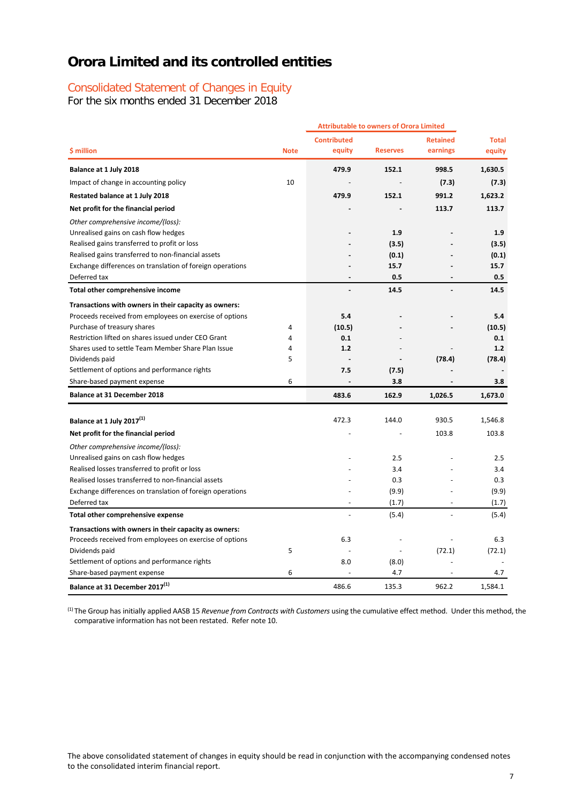# Consolidated Statement of Changes in Equity

For the six months ended 31 December 2018

|                                                           |             |                    | <b>Attributable to owners of Orora Limited</b> |                 |              |
|-----------------------------------------------------------|-------------|--------------------|------------------------------------------------|-----------------|--------------|
|                                                           |             | <b>Contributed</b> |                                                | <b>Retained</b> | <b>Total</b> |
| \$ million                                                | <b>Note</b> | equity             | <b>Reserves</b>                                | earnings        | equity       |
| Balance at 1 July 2018                                    |             | 479.9              | 152.1                                          | 998.5           | 1,630.5      |
| Impact of change in accounting policy                     | 10          |                    |                                                | (7.3)           | (7.3)        |
| Restated balance at 1 July 2018                           |             | 479.9              | 152.1                                          | 991.2           | 1,623.2      |
| Net profit for the financial period                       |             |                    |                                                | 113.7           | 113.7        |
| Other comprehensive income/(loss):                        |             |                    |                                                |                 |              |
| Unrealised gains on cash flow hedges                      |             |                    | 1.9                                            |                 | 1.9          |
| Realised gains transferred to profit or loss              |             |                    | (3.5)                                          |                 | (3.5)        |
| Realised gains transferred to non-financial assets        |             |                    | (0.1)                                          |                 | (0.1)        |
| Exchange differences on translation of foreign operations |             |                    | 15.7                                           |                 | 15.7         |
| Deferred tax                                              |             |                    | 0.5                                            |                 | 0.5          |
| Total other comprehensive income                          |             |                    | 14.5                                           |                 | 14.5         |
| Transactions with owners in their capacity as owners:     |             |                    |                                                |                 |              |
| Proceeds received from employees on exercise of options   |             | 5.4                |                                                |                 | 5.4          |
| Purchase of treasury shares                               | 4           | (10.5)             |                                                |                 | (10.5)       |
| Restriction lifted on shares issued under CEO Grant       | 4           | 0.1                |                                                |                 | 0.1          |
| Shares used to settle Team Member Share Plan Issue        | 4           | 1.2                |                                                |                 | 1.2          |
| Dividends paid                                            | 5           |                    |                                                | (78.4)          | (78.4)       |
| Settlement of options and performance rights              |             | 7.5                | (7.5)                                          |                 |              |
| Share-based payment expense                               | 6           |                    | 3.8                                            |                 | 3.8          |
| <b>Balance at 31 December 2018</b>                        |             | 483.6              | 162.9                                          | 1,026.5         | 1,673.0      |
|                                                           |             |                    |                                                |                 |              |
| Balance at 1 July 2017(1)                                 |             | 472.3              | 144.0                                          | 930.5           | 1,546.8      |
| Net profit for the financial period                       |             |                    |                                                | 103.8           | 103.8        |
| Other comprehensive income/(loss):                        |             |                    |                                                |                 |              |
| Unrealised gains on cash flow hedges                      |             |                    | 2.5                                            |                 | 2.5          |
| Realised losses transferred to profit or loss             |             |                    | 3.4                                            |                 | 3.4          |
| Realised losses transferred to non-financial assets       |             |                    | 0.3                                            |                 | 0.3          |
| Exchange differences on translation of foreign operations |             |                    | (9.9)                                          |                 | (9.9)        |
| Deferred tax                                              |             |                    | (1.7)                                          |                 | (1.7)        |
| Total other comprehensive expense                         |             |                    | (5.4)                                          |                 | (5.4)        |
| Transactions with owners in their capacity as owners:     |             |                    |                                                |                 |              |
| Proceeds received from employees on exercise of options   |             | 6.3                |                                                |                 | 6.3          |
| Dividends paid                                            | 5           |                    |                                                | (72.1)          | (72.1)       |
| Settlement of options and performance rights              |             | 8.0                | (8.0)                                          |                 |              |
| Share-based payment expense                               | 6           |                    | 4.7                                            |                 | 4.7          |
| Balance at 31 December 2017(1)                            |             | 486.6              | 135.3                                          | 962.2           | 1.584.1      |

(1) The Group has initially applied AASB 15 *Revenue from Contracts with Customers* using the cumulative effect method. Under this method, the comparative information has not been restated. Refer note 10.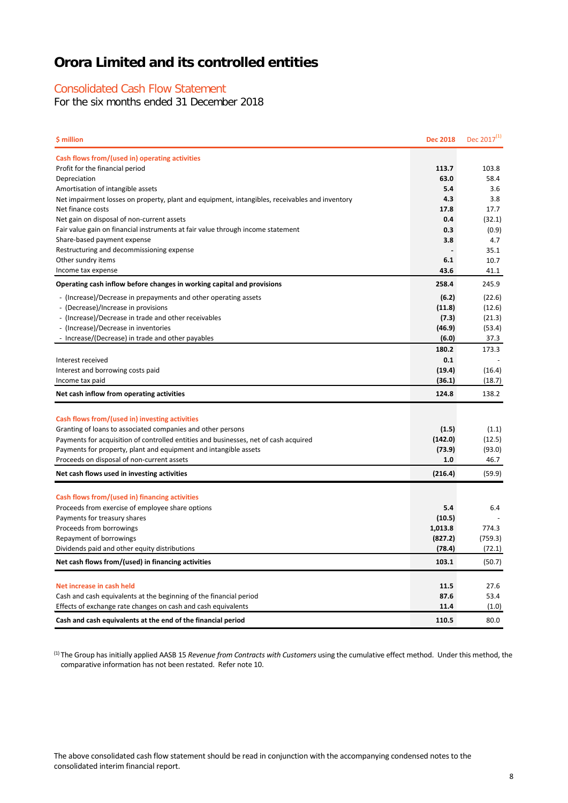### Consolidated Cash Flow Statement

For the six months ended 31 December 2018

| \$ million                                                                                                                          | <b>Dec 2018</b> | Dec 2017 <sup>(1)</sup> |
|-------------------------------------------------------------------------------------------------------------------------------------|-----------------|-------------------------|
| Cash flows from/(used in) operating activities                                                                                      |                 |                         |
| Profit for the financial period                                                                                                     | 113.7           | 103.8                   |
| Depreciation                                                                                                                        | 63.0            | 58.4                    |
| Amortisation of intangible assets                                                                                                   | 5.4             | 3.6                     |
| Net impairment losses on property, plant and equipment, intangibles, receivables and inventory                                      | 4.3             | 3.8                     |
| Net finance costs                                                                                                                   | 17.8            | 17.7                    |
| Net gain on disposal of non-current assets                                                                                          | 0.4             | (32.1)                  |
| Fair value gain on financial instruments at fair value through income statement                                                     | 0.3             | (0.9)                   |
| Share-based payment expense                                                                                                         | 3.8             | 4.7                     |
| Restructuring and decommissioning expense                                                                                           | 6.1             | 35.1<br>10.7            |
| Other sundry items<br>Income tax expense                                                                                            | 43.6            | 41.1                    |
| Operating cash inflow before changes in working capital and provisions                                                              | 258.4           | 245.9                   |
| - (Increase)/Decrease in prepayments and other operating assets                                                                     | (6.2)           | (22.6)                  |
| - (Decrease)/Increase in provisions                                                                                                 | (11.8)          | (12.6)                  |
| - (Increase)/Decrease in trade and other receivables                                                                                | (7.3)           | (21.3)                  |
| - (Increase)/Decrease in inventories                                                                                                | (46.9)          | (53.4)                  |
| - Increase/(Decrease) in trade and other payables                                                                                   | (6.0)           | 37.3                    |
|                                                                                                                                     | 180.2           | 173.3                   |
| Interest received                                                                                                                   | 0.1             |                         |
| Interest and borrowing costs paid                                                                                                   | (19.4)          | (16.4)                  |
| Income tax paid                                                                                                                     | (36.1)          | (18.7)                  |
| Net cash inflow from operating activities                                                                                           | 124.8           | 138.2                   |
|                                                                                                                                     |                 |                         |
| Cash flows from/(used in) investing activities                                                                                      |                 |                         |
| Granting of loans to associated companies and other persons                                                                         | (1.5)           | (1.1)                   |
| Payments for acquisition of controlled entities and businesses, net of cash acquired                                                | (142.0)         | (12.5)                  |
| Payments for property, plant and equipment and intangible assets                                                                    | (73.9)          | (93.0)                  |
| Proceeds on disposal of non-current assets                                                                                          | 1.0             | 46.7                    |
| Net cash flows used in investing activities                                                                                         | (216.4)         | (59.9)                  |
|                                                                                                                                     |                 |                         |
| Cash flows from/(used in) financing activities                                                                                      |                 |                         |
| Proceeds from exercise of employee share options                                                                                    | 5.4             | 6.4                     |
| Payments for treasury shares                                                                                                        | (10.5)          |                         |
| Proceeds from borrowings                                                                                                            | 1,013.8         | 774.3                   |
| Repayment of borrowings                                                                                                             | (827.2)         | (759.3)                 |
| Dividends paid and other equity distributions                                                                                       | (78.4)          | (72.1)                  |
| Net cash flows from/(used) in financing activities                                                                                  | 103.1           | (50.7)                  |
|                                                                                                                                     |                 |                         |
| Net increase in cash held                                                                                                           | 11.5<br>87.6    | 27.6<br>53.4            |
| Cash and cash equivalents at the beginning of the financial period<br>Effects of exchange rate changes on cash and cash equivalents | 11.4            | (1.0)                   |
|                                                                                                                                     |                 |                         |
| Cash and cash equivalents at the end of the financial period                                                                        | 110.5           | 80.0                    |

(1) The Group has initially applied AASB 15 *Revenue from Contracts with Customers* using the cumulative effect method. Under this method, the comparative information has not been restated. Refer note 10.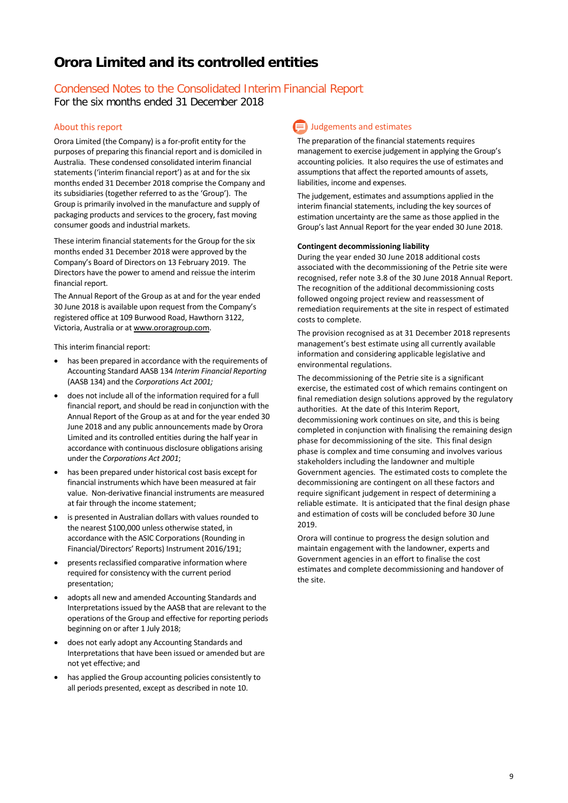## Condensed Notes to the Consolidated Interim Financial Report

For the six months ended 31 December 2018

#### About this report

Orora Limited (the Company) is a for-profit entity for the purposes of preparing this financial report and is domiciled in Australia. These condensed consolidated interim financial statements ('interim financial report') as at and for the six months ended 31 December 2018 comprise the Company and its subsidiaries (together referred to as the 'Group'). The Group is primarily involved in the manufacture and supply of packaging products and services to the grocery, fast moving consumer goods and industrial markets.

These interim financial statements for the Group for the six months ended 31 December 2018 were approved by the Company's Board of Directors on 13 February 2019. The Directors have the power to amend and reissue the interim financial report.

The Annual Report of the Group as at and for the year ended 30 June 2018 is available upon request from the Company's registered office at 109 Burwood Road, Hawthorn 3122, Victoria, Australia or a[t www.ororagroup.com.](http://www.ororagroup.com/)

This interim financial report:

- has been prepared in accordance with the requirements of Accounting Standard AASB 134 *Interim Financial Reporting* (AASB 134) and the *Corporations Act 2001;*
- does not include all of the information required for a full financial report, and should be read in conjunction with the Annual Report of the Group as at and for the year ended 30 June 2018 and any public announcements made by Orora Limited and its controlled entities during the half year in accordance with continuous disclosure obligations arising under the *Corporations Act 2001*;
- has been prepared under historical cost basis except for financial instruments which have been measured at fair value. Non-derivative financial instruments are measured at fair through the income statement;
- is presented in Australian dollars with values rounded to the nearest \$100,000 unless otherwise stated, in accordance with the ASIC Corporations (Rounding in Financial/Directors' Reports) Instrument 2016/191;
- presents reclassified comparative information where required for consistency with the current period presentation;
- adopts all new and amended Accounting Standards and Interpretations issued by the AASB that are relevant to the operations of the Group and effective for reporting periods beginning on or after 1 July 2018;
- does not early adopt any Accounting Standards and Interpretations that have been issued or amended but are not yet effective; and
- has applied the Group accounting policies consistently to all periods presented, except as described in note 10.

## **Judgements and estimates**

The preparation of the financial statements requires management to exercise judgement in applying the Group's accounting policies. It also requires the use of estimates and assumptions that affect the reported amounts of assets, liabilities, income and expenses.

The judgement, estimates and assumptions applied in the interim financial statements, including the key sources of estimation uncertainty are the same as those applied in the Group's last Annual Report for the year ended 30 June 2018.

#### **Contingent decommissioning liability**

During the year ended 30 June 2018 additional costs associated with the decommissioning of the Petrie site were recognised, refer note 3.8 of the 30 June 2018 Annual Report. The recognition of the additional decommissioning costs followed ongoing project review and reassessment of remediation requirements at the site in respect of estimated costs to complete.

The provision recognised as at 31 December 2018 represents management's best estimate using all currently available information and considering applicable legislative and environmental regulations.

The decommissioning of the Petrie site is a significant exercise, the estimated cost of which remains contingent on final remediation design solutions approved by the regulatory authorities. At the date of this Interim Report, decommissioning work continues on site, and this is being completed in conjunction with finalising the remaining design phase for decommissioning of the site. This final design phase is complex and time consuming and involves various stakeholders including the landowner and multiple Government agencies. The estimated costs to complete the decommissioning are contingent on all these factors and require significant judgement in respect of determining a reliable estimate. It is anticipated that the final design phase and estimation of costs will be concluded before 30 June 2019.

Orora will continue to progress the design solution and maintain engagement with the landowner, experts and Government agencies in an effort to finalise the cost estimates and complete decommissioning and handover of the site.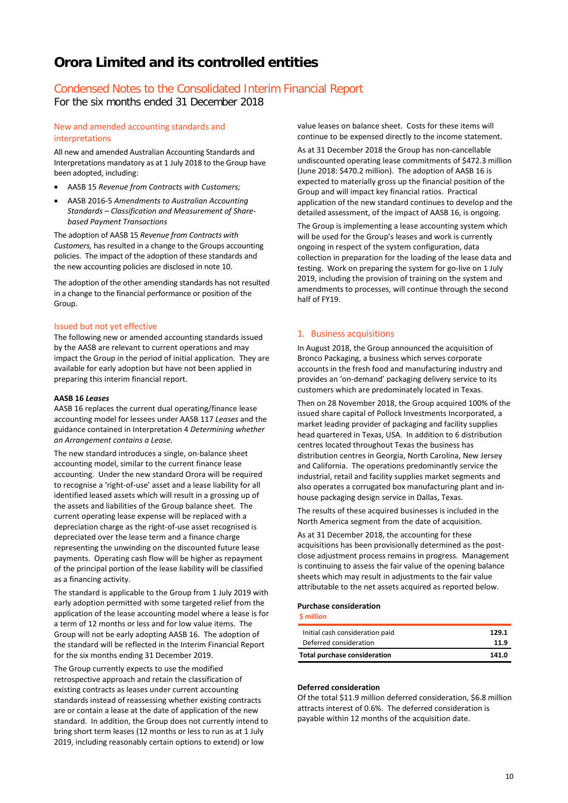### Condensed Notes to the Consolidated Interim Financial Report

For the six months ended 31 December 2018

#### New and amended accounting standards and interpretations

All new and amended Australian Accounting Standards and Interpretations mandatory as at 1 July 2018 to the Group have been adopted, including:

- AASB 15 *Revenue from Contracts with Customers;*
- AASB 2016-5 *Amendments to Australian Accounting Standards – Classification and Measurement of Sharebased Payment Transactions*

The adoption of AASB 15 *Revenue from Contracts with Customers,* has resulted in a change to the Groups accounting policies. The impact of the adoption of these standards and the new accounting policies are disclosed in note 10.

The adoption of the other amending standards has not resulted in a change to the financial performance or position of the Group.

#### Issued but not yet effective

The following new or amended accounting standards issued by the AASB are relevant to current operations and may impact the Group in the period of initial application. They are available for early adoption but have not been applied in preparing this interim financial report.

#### **AASB 16** *Leases*

AASB 16 replaces the current dual operating/finance lease accounting model for lessees under AASB 117 *Leases* and the guidance contained in Interpretation 4 *Determining whether an Arrangement contains a Lease*.

The new standard introduces a single, on-balance sheet accounting model, similar to the current finance lease accounting. Under the new standard Orora will be required to recognise a 'right-of-use' asset and a lease liability for all identified leased assets which will result in a grossing up of the assets and liabilities of the Group balance sheet. The current operating lease expense will be replaced with a depreciation charge as the right-of-use asset recognised is depreciated over the lease term and a finance charge representing the unwinding on the discounted future lease payments. Operating cash flow will be higher as repayment of the principal portion of the lease liability will be classified as a financing activity.

The standard is applicable to the Group from 1 July 2019 with early adoption permitted with some targeted relief from the application of the lease accounting model where a lease is for a term of 12 months or less and for low value items. The Group will not be early adopting AASB 16. The adoption of the standard will be reflected in the Interim Financial Report for the six months ending 31 December 2019.

The Group currently expects to use the modified retrospective approach and retain the classification of existing contracts as leases under current accounting standards instead of reassessing whether existing contracts are or contain a lease at the date of application of the new standard. In addition, the Group does not currently intend to bring short term leases (12 months or less to run as at 1 July 2019, including reasonably certain options to extend) or low

value leases on balance sheet. Costs for these items will continue to be expensed directly to the income statement.

As at 31 December 2018 the Group has non-cancellable undiscounted operating lease commitments of \$472.3 million (June 2018: \$470.2 million). The adoption of AASB 16 is expected to materially gross up the financial position of the Group and will impact key financial ratios. Practical application of the new standard continues to develop and the detailed assessment, of the impact of AASB 16, is ongoing.

The Group is implementing a lease accounting system which will be used for the Group's leases and work is currently ongoing in respect of the system configuration, data collection in preparation for the loading of the lease data and testing. Work on preparing the system for go-live on 1 July 2019, including the provision of training on the system and amendments to processes, will continue through the second half of FY19.

#### 1. Business acquisitions

In August 2018, the Group announced the acquisition of Bronco Packaging, a business which serves corporate accounts in the fresh food and manufacturing industry and provides an 'on-demand' packaging delivery service to its customers which are predominately located in Texas.

Then on 28 November 2018, the Group acquired 100% of the issued share capital of Pollock Investments Incorporated, a market leading provider of packaging and facility supplies head quartered in Texas, USA. In addition to 6 distribution centres located throughout Texas the business has distribution centres in Georgia, North Carolina, New Jersey and California. The operations predominantly service the industrial, retail and facility supplies market segments and also operates a corrugated box manufacturing plant and inhouse packaging design service in Dallas, Texas.

The results of these acquired businesses is included in the North America segment from the date of acquisition.

As at 31 December 2018, the accounting for these acquisitions has been provisionally determined as the postclose adjustment process remains in progress. Management is continuing to assess the fair value of the opening balance sheets which may result in adjustments to the fair value attributable to the net assets acquired as reported below.

#### **Purchase consideration**

**\$ million**

| Initial cash consideration paid<br>Deferred consideration | 11.9  |
|-----------------------------------------------------------|-------|
| <b>Total purchase consideration</b>                       | 141.0 |

#### **Deferred consideration**

Of the total \$11.9 million deferred consideration, \$6.8 million attracts interest of 0.6%. The deferred consideration is payable within 12 months of the acquisition date.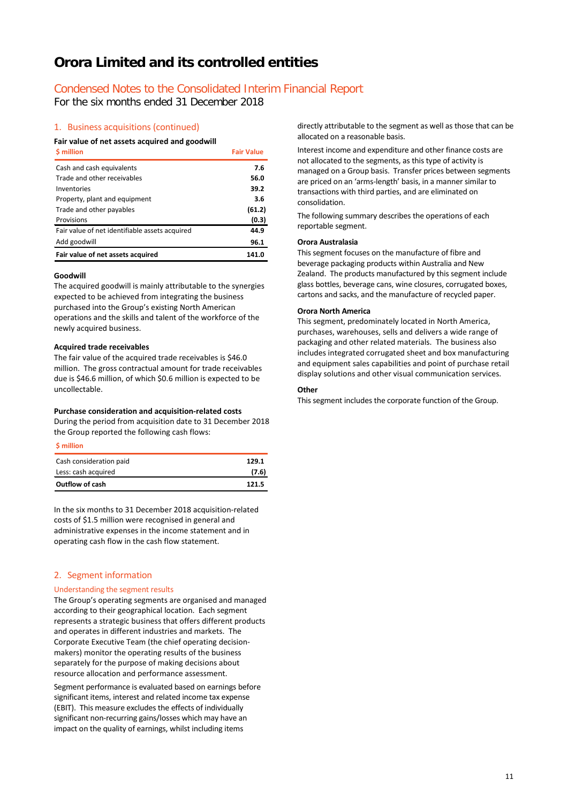### Condensed Notes to the Consolidated Interim Financial Report

For the six months ended 31 December 2018

#### 1. Business acquisitions (continued)

#### **Fair value of net assets acquired and goodwill**

| \$ million                                     | <b>Fair Value</b> |
|------------------------------------------------|-------------------|
| Cash and cash equivalents                      | 7.6               |
| Trade and other receivables                    | 56.0              |
| Inventories                                    | 39.2              |
| Property, plant and equipment                  | 3.6               |
| Trade and other payables                       | (61.2)            |
| Provisions                                     | (0.3)             |
| Fair value of net identifiable assets acquired | 44.9              |
| Add goodwill                                   | 96.1              |
| Fair value of net assets acquired              | 141.0             |

#### **Goodwill**

The acquired goodwill is mainly attributable to the synergies expected to be achieved from integrating the business purchased into the Group's existing North American operations and the skills and talent of the workforce of the newly acquired business.

#### **Acquired trade receivables**

The fair value of the acquired trade receivables is \$46.0 million. The gross contractual amount for trade receivables due is \$46.6 million, of which \$0.6 million is expected to be uncollectable.

#### **Purchase consideration and acquisition-related costs**

During the period from acquisition date to 31 December 2018 the Group reported the following cash flows:

**\$ million**

| Cash consideration paid | 129.1 |
|-------------------------|-------|
| Less: cash acquired     | (7.6) |
| <b>Outflow of cash</b>  | 121.5 |

In the six months to 31 December 2018 acquisition-related costs of \$1.5 million were recognised in general and administrative expenses in the income statement and in operating cash flow in the cash flow statement.

#### 2. Segment information

#### Understanding the segment results

The Group's operating segments are organised and managed according to their geographical location. Each segment represents a strategic business that offers different products and operates in different industries and markets. The Corporate Executive Team (the chief operating decisionmakers) monitor the operating results of the business separately for the purpose of making decisions about resource allocation and performance assessment.

Segment performance is evaluated based on earnings before significant items, interest and related income tax expense (EBIT). This measure excludes the effects of individually significant non-recurring gains/losses which may have an impact on the quality of earnings, whilst including items

directly attributable to the segment as well as those that can be allocated on a reasonable basis.

Interest income and expenditure and other finance costs are not allocated to the segments, as this type of activity is managed on a Group basis. Transfer prices between segments are priced on an 'arms-length' basis, in a manner similar to transactions with third parties, and are eliminated on consolidation.

The following summary describes the operations of each reportable segment.

#### **Orora Australasia**

This segment focuses on the manufacture of fibre and beverage packaging products within Australia and New Zealand. The products manufactured by this segment include glass bottles, beverage cans, wine closures, corrugated boxes, cartons and sacks, and the manufacture of recycled paper.

#### **Orora North America**

This segment, predominately located in North America, purchases, warehouses, sells and delivers a wide range of packaging and other related materials. The business also includes integrated corrugated sheet and box manufacturing and equipment sales capabilities and point of purchase retail display solutions and other visual communication services.

#### **Other**

This segment includes the corporate function of the Group.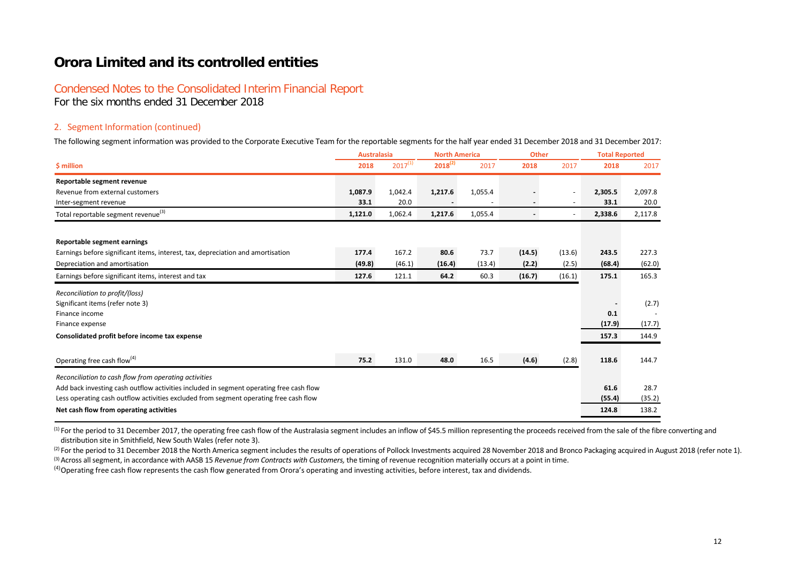### Condensed Notes to the Consolidated Interim Financial Report

For the six months ended 31 December 2018

#### 2. Segment Information (continued)

The following segment information was provided to the Corporate Executive Team for the reportable segments for the half year ended 31 December 2018 and 31 December 2017:

|                                                                                         | <b>Australasia</b> |              | <b>North America</b> |         | <b>Other</b> |        | <b>Total Reported</b> |         |
|-----------------------------------------------------------------------------------------|--------------------|--------------|----------------------|---------|--------------|--------|-----------------------|---------|
| \$ million                                                                              | 2018               | $2017^{(1)}$ | $2018^{(2)}$         | 2017    | 2018         | 2017   | 2018                  | 2017    |
| Reportable segment revenue                                                              |                    |              |                      |         |              |        |                       |         |
| Revenue from external customers                                                         | 1,087.9            | 1,042.4      | 1,217.6              | 1,055.4 |              |        | 2,305.5               | 2,097.8 |
| Inter-segment revenue                                                                   | 33.1               | 20.0         |                      |         |              |        | 33.1                  | 20.0    |
| Total reportable segment revenue <sup>(3)</sup>                                         | 1,121.0            | 1,062.4      | 1,217.6              | 1,055.4 |              |        | 2,338.6               | 2,117.8 |
| Reportable segment earnings                                                             |                    |              |                      |         |              |        |                       |         |
| Earnings before significant items, interest, tax, depreciation and amortisation         | 177.4              | 167.2        | 80.6                 | 73.7    | (14.5)       | (13.6) | 243.5                 | 227.3   |
| Depreciation and amortisation                                                           | (49.8)             | (46.1)       | (16.4)               | (13.4)  | (2.2)        | (2.5)  | (68.4)                | (62.0)  |
| Earnings before significant items, interest and tax                                     | 127.6              | 121.1        | 64.2                 | 60.3    | (16.7)       | (16.1) | 175.1                 | 165.3   |
| Reconciliation to profit/(loss)                                                         |                    |              |                      |         |              |        |                       |         |
| Significant items (refer note 3)                                                        |                    |              |                      |         |              |        |                       | (2.7)   |
| Finance income                                                                          |                    |              |                      |         |              |        | 0.1                   |         |
| Finance expense                                                                         |                    |              |                      |         |              |        | (17.9)                | (17.7)  |
| Consolidated profit before income tax expense                                           |                    |              |                      |         |              |        | 157.3                 | 144.9   |
| Operating free cash flow <sup>(4)</sup>                                                 | 75.2               | 131.0        | 48.0                 | 16.5    | (4.6)        | (2.8)  | 118.6                 | 144.7   |
| Reconciliation to cash flow from operating activities                                   |                    |              |                      |         |              |        |                       |         |
| Add back investing cash outflow activities included in segment operating free cash flow |                    |              |                      |         |              |        | 61.6                  | 28.7    |
| Less operating cash outflow activities excluded from segment operating free cash flow   |                    |              |                      |         |              |        | (55.4)                | (35.2)  |
| Net cash flow from operating activities                                                 |                    |              |                      |         |              |        | 124.8                 | 138.2   |

<sup>(1)</sup> For the period to 31 December 2017, the operating free cash flow of the Australasia segment includes an inflow of \$45.5 million representing the proceeds received from the sale of the fibre converting and distribution site in Smithfield, New South Wales (refer note 3).

(2) For the period to 31 December 2018 the North America segment includes the results of operations of Pollock Investments acquired 28 November 2018 and Bronco Packaging acquired in August 2018 (refer note 1). <sup>(3)</sup> Across all segment, in accordance with AASB 15 *Revenue from Contracts with Customers*, the timing of revenue recognition materially occurs at a point in time.

(4)Operating free cash flow represents the cash flow generated from Orora's operating and investing activities, before interest, tax and dividends.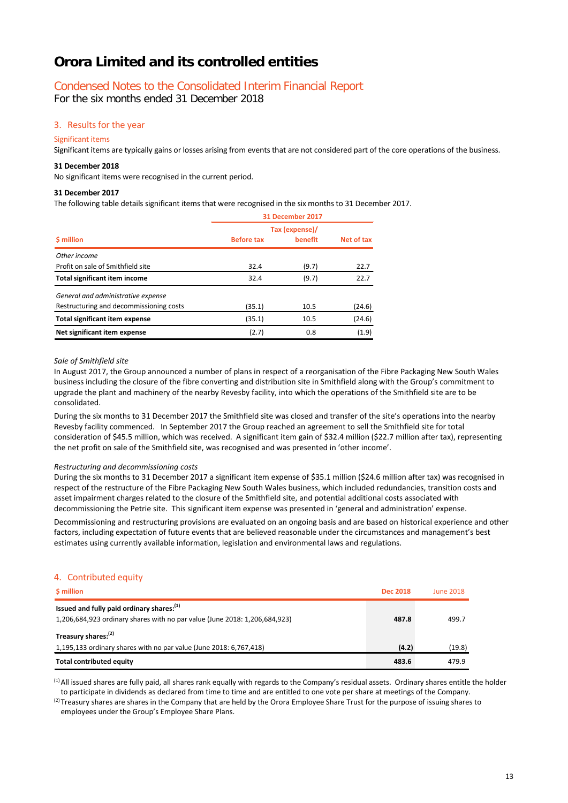### Condensed Notes to the Consolidated Interim Financial Report

For the six months ended 31 December 2018

#### 3. Results for the year

#### Significant items

Significant items are typically gains or losses arising from events that are not considered part of the core operations of the business.

#### **31 December 2018**

No significant items were recognised in the current period.

#### **31 December 2017**

The following table details significant items that were recognised in the six months to 31 December 2017.

|                                         | 31 December 2017  |                |            |  |  |
|-----------------------------------------|-------------------|----------------|------------|--|--|
|                                         |                   | Tax (expense)/ |            |  |  |
| \$ million                              | <b>Before tax</b> | benefit        | Net of tax |  |  |
| Other income                            |                   |                |            |  |  |
| Profit on sale of Smithfield site       | 32.4              | (9.7)          | 22.7       |  |  |
| <b>Total significant item income</b>    | 32.4              | (9.7)          | 22.7       |  |  |
| General and administrative expense      |                   |                |            |  |  |
| Restructuring and decommissioning costs | (35.1)            | 10.5           | (24.6)     |  |  |
| <b>Total significant item expense</b>   | (35.1)            | 10.5           | (24.6)     |  |  |
| Net significant item expense            | (2.7)             | 0.8            | (1.9)      |  |  |

#### *Sale of Smithfield site*

In August 2017, the Group announced a number of plans in respect of a reorganisation of the Fibre Packaging New South Wales business including the closure of the fibre converting and distribution site in Smithfield along with the Group's commitment to upgrade the plant and machinery of the nearby Revesby facility, into which the operations of the Smithfield site are to be consolidated.

During the six months to 31 December 2017 the Smithfield site was closed and transfer of the site's operations into the nearby Revesby facility commenced. In September 2017 the Group reached an agreement to sell the Smithfield site for total consideration of \$45.5 million, which was received. A significant item gain of \$32.4 million (\$22.7 million after tax), representing the net profit on sale of the Smithfield site, was recognised and was presented in 'other income'.

#### *Restructuring and decommissioning costs*

During the six months to 31 December 2017 a significant item expense of \$35.1 million (\$24.6 million after tax) was recognised in respect of the restructure of the Fibre Packaging New South Wales business, which included redundancies, transition costs and asset impairment charges related to the closure of the Smithfield site, and potential additional costs associated with decommissioning the Petrie site. This significant item expense was presented in 'general and administration' expense.

Decommissioning and restructuring provisions are evaluated on an ongoing basis and are based on historical experience and other factors, including expectation of future events that are believed reasonable under the circumstances and management's best estimates using currently available information, legislation and environmental laws and regulations.

#### 4. Contributed equity

| <b>S</b> million                                                                                                                    | <b>Dec 2018</b> | <b>June 2018</b> |
|-------------------------------------------------------------------------------------------------------------------------------------|-----------------|------------------|
| Issued and fully paid ordinary shares: <sup>(1)</sup><br>1,206,684,923 ordinary shares with no par value (June 2018: 1,206,684,923) | 487.8           | 499.7            |
| Treasury shares: <sup>(2)</sup>                                                                                                     |                 |                  |
| 1,195,133 ordinary shares with no par value (June 2018: 6,767,418)                                                                  | (4.2)           | (19.8)           |
| <b>Total contributed equity</b>                                                                                                     | 483.6           | 479.9            |

(1)All issued shares are fully paid, all shares rank equally with regards to the Company's residual assets. Ordinary shares entitle the holder to participate in dividends as declared from time to time and are entitled to one vote per share at meetings of the Company.

 $(2)$ Treasury shares are shares in the Company that are held by the Orora Employee Share Trust for the purpose of issuing shares to employees under the Group's Employee Share Plans.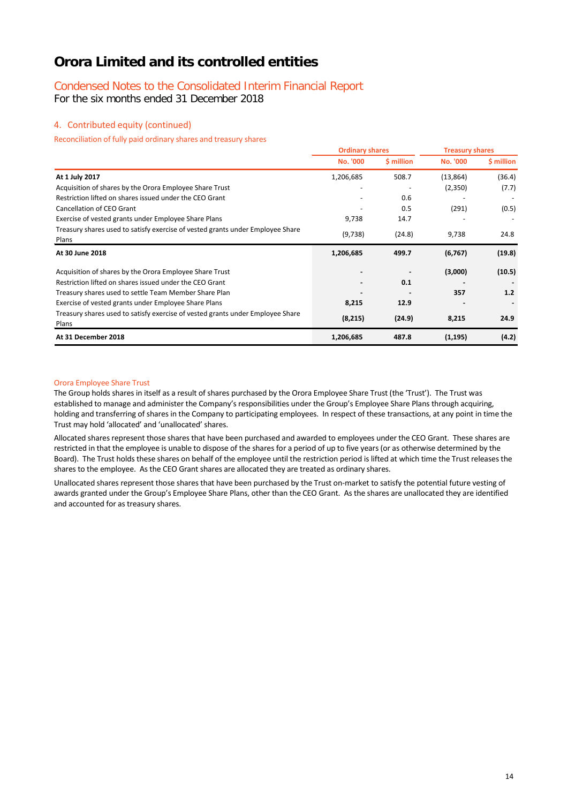### Condensed Notes to the Consolidated Interim Financial Report

For the six months ended 31 December 2018

#### 4. Contributed equity (continued)

Reconciliation of fully paid ordinary shares and treasury shares

|                                                                                         | <b>Ordinary shares</b> |            | <b>Treasury shares</b> |            |
|-----------------------------------------------------------------------------------------|------------------------|------------|------------------------|------------|
|                                                                                         | <b>No. '000</b>        | \$ million | <b>No. '000</b>        | \$ million |
| At 1 July 2017                                                                          | 1,206,685              | 508.7      | (13, 864)              | (36.4)     |
| Acquisition of shares by the Orora Employee Share Trust                                 |                        |            | (2,350)                | (7.7)      |
| Restriction lifted on shares issued under the CEO Grant                                 |                        | 0.6        |                        |            |
| Cancellation of CEO Grant                                                               |                        | 0.5        | (291)                  | (0.5)      |
| Exercise of vested grants under Employee Share Plans                                    | 9,738                  | 14.7       |                        |            |
| Treasury shares used to satisfy exercise of vested grants under Employee Share<br>Plans | (9, 738)               | (24.8)     | 9,738                  | 24.8       |
| At 30 June 2018                                                                         | 1,206,685              | 499.7      | (6, 767)               | (19.8)     |
| Acquisition of shares by the Orora Employee Share Trust                                 |                        |            | (3,000)                | (10.5)     |
| Restriction lifted on shares issued under the CEO Grant                                 |                        | 0.1        |                        |            |
| Treasury shares used to settle Team Member Share Plan                                   |                        |            | 357                    | 1.2        |
| Exercise of vested grants under Employee Share Plans                                    | 8,215                  | 12.9       |                        |            |
| Treasury shares used to satisfy exercise of vested grants under Employee Share<br>Plans | (8, 215)               | (24.9)     | 8,215                  | 24.9       |
| At 31 December 2018                                                                     | 1,206,685              | 487.8      | (1, 195)               | (4.2)      |

#### Orora Employee Share Trust

The Group holds shares in itself as a result of shares purchased by the Orora Employee Share Trust (the 'Trust'). The Trust was established to manage and administer the Company's responsibilities under the Group's Employee Share Plans through acquiring, holding and transferring of shares in the Company to participating employees. In respect of these transactions, at any point in time the Trust may hold 'allocated' and 'unallocated' shares.

Allocated shares represent those shares that have been purchased and awarded to employees under the CEO Grant. These shares are restricted in that the employee is unable to dispose of the shares for a period of up to five years (or as otherwise determined by the Board). The Trust holds these shares on behalf of the employee until the restriction period is lifted at which time the Trust releases the shares to the employee. As the CEO Grant shares are allocated they are treated as ordinary shares.

Unallocated shares represent those shares that have been purchased by the Trust on-market to satisfy the potential future vesting of awards granted under the Group's Employee Share Plans, other than the CEO Grant. As the shares are unallocated they are identified and accounted for as treasury shares.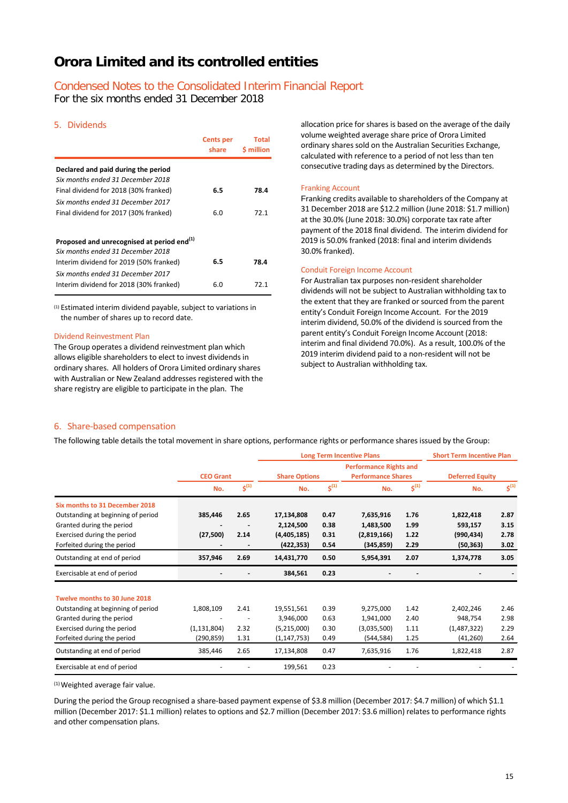## Condensed Notes to the Consolidated Interim Financial Report

For the six months ended 31 December 2018

#### 5. Dividends

|                                                                                             | <b>Cents per</b><br>share | Total<br><b>S</b> million |
|---------------------------------------------------------------------------------------------|---------------------------|---------------------------|
| Declared and paid during the period                                                         |                           |                           |
| Six months ended 31 December 2018<br>Final dividend for 2018 (30% franked)                  | 6.5                       | 78.4                      |
| Six months ended 31 December 2017                                                           | 6.0                       | 72.1                      |
| Final dividend for 2017 (30% franked)                                                       |                           |                           |
| Proposed and unrecognised at period end <sup>(1)</sup><br>Six months ended 31 December 2018 |                           |                           |
| Interim dividend for 2019 (50% franked)                                                     | 6.5                       | 78.4                      |
| Six months ended 31 December 2017<br>Interim dividend for 2018 (30% franked)                | 6.0                       | 72.1                      |

(1) Estimated interim dividend payable, subject to variations in the number of shares up to record date.

#### Dividend Reinvestment Plan

The Group operates a dividend reinvestment plan which allows eligible shareholders to elect to invest dividends in ordinary shares. All holders of Orora Limited ordinary shares with Australian or New Zealand addresses registered with the share registry are eligible to participate in the plan. The

allocation price for shares is based on the average of the daily volume weighted average share price of Orora Limited ordinary shares sold on the Australian Securities Exchange, calculated with reference to a period of not less than ten consecutive trading days as determined by the Directors.

#### Franking Account

Franking credits available to shareholders of the Company at 31 December 2018 are \$12.2 million (June 2018: \$1.7 million) at the 30.0% (June 2018: 30.0%) corporate tax rate after payment of the 2018 final dividend. The interim dividend for 2019 is 50.0% franked (2018: final and interim dividends 30.0% franked).

#### Conduit Foreign Income Account

For Australian tax purposes non-resident shareholder dividends will not be subject to Australian withholding tax to the extent that they are franked or sourced from the parent entity's Conduit Foreign Income Account. For the 2019 interim dividend, 50.0% of the dividend is sourced from the parent entity's Conduit Foreign Income Account (2018: interim and final dividend 70.0%). As a result, 100.0% of the 2019 interim dividend paid to a non-resident will not be subject to Australian withholding tax.

#### 6. Share-based compensation

The following table details the total movement in share options, performance rights or performance shares issued by the Group:

|                                    |                  |                            |                      |           | <b>Long Term Incentive Plans</b>                           |           | <b>Short Term Incentive Plan</b> |                            |
|------------------------------------|------------------|----------------------------|----------------------|-----------|------------------------------------------------------------|-----------|----------------------------------|----------------------------|
|                                    | <b>CEO Grant</b> |                            | <b>Share Options</b> |           | <b>Performance Rights and</b><br><b>Performance Shares</b> |           | <b>Deferred Equity</b>           |                            |
|                                    | No.              | $\boldsymbol{\zeta}^{(1)}$ | No.                  | $5^{(1)}$ | No.                                                        | $5^{(1)}$ | No.                              | $\boldsymbol{\zeta}^{(1)}$ |
| Six months to 31 December 2018     |                  |                            |                      |           |                                                            |           |                                  |                            |
| Outstanding at beginning of period | 385,446          | 2.65                       | 17,134,808           | 0.47      | 7,635,916                                                  | 1.76      | 1,822,418                        | 2.87                       |
| Granted during the period          |                  |                            | 2,124,500            | 0.38      | 1,483,500                                                  | 1.99      | 593,157                          | 3.15                       |
| Exercised during the period        | (27, 500)        | 2.14                       | (4,405,185)          | 0.31      | (2,819,166)                                                | 1.22      | (990, 434)                       | 2.78                       |
| Forfeited during the period        |                  |                            | (422, 353)           | 0.54      | (345, 859)                                                 | 2.29      | (50, 363)                        | 3.02                       |
| Outstanding at end of period       | 357,946          | 2.69                       | 14,431,770           | 0.50      | 5,954,391                                                  | 2.07      | 1,374,778                        | 3.05                       |
| Exercisable at end of period       |                  |                            | 384,561              | 0.23      |                                                            |           |                                  |                            |
| Twelve months to 30 June 2018      |                  |                            |                      |           |                                                            |           |                                  |                            |
| Outstanding at beginning of period | 1,808,109        | 2.41                       | 19,551,561           | 0.39      | 9,275,000                                                  | 1.42      | 2,402,246                        | 2.46                       |
| Granted during the period          |                  |                            | 3,946,000            | 0.63      | 1,941,000                                                  | 2.40      | 948,754                          | 2.98                       |
| Exercised during the period        | (1, 131, 804)    | 2.32                       | (5,215,000)          | 0.30      | (3,035,500)                                                | 1.11      | (1,487,322)                      | 2.29                       |
| Forfeited during the period        | (290, 859)       | 1.31                       | (1, 147, 753)        | 0.49      | (544, 584)                                                 | 1.25      | (41, 260)                        | 2.64                       |
| Outstanding at end of period       | 385,446          | 2.65                       | 17,134,808           | 0.47      | 7,635,916                                                  | 1.76      | 1,822,418                        | 2.87                       |
| Exercisable at end of period       |                  |                            | 199,561              | 0.23      |                                                            |           |                                  |                            |

(1)Weighted average fair value.

During the period the Group recognised a share-based payment expense of \$3.8 million (December 2017: \$4.7 million) of which \$1.1 million (December 2017: \$1.1 million) relates to options and \$2.7 million (December 2017: \$3.6 million) relates to performance rights and other compensation plans.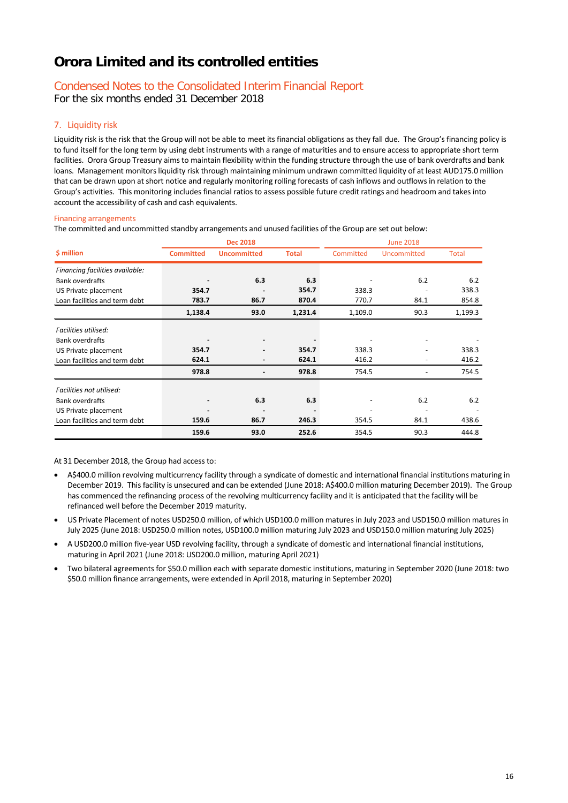## Condensed Notes to the Consolidated Interim Financial Report

For the six months ended 31 December 2018

#### 7. Liquidity risk

Liquidity risk is the risk that the Group will not be able to meet its financial obligations as they fall due. The Group's financing policy is to fund itself for the long term by using debt instruments with a range of maturities and to ensure access to appropriate short term facilities. Orora Group Treasury aims to maintain flexibility within the funding structure through the use of bank overdrafts and bank loans. Management monitors liquidity risk through maintaining minimum undrawn committed liquidity of at least AUD175.0 million that can be drawn upon at short notice and regularly monitoring rolling forecasts of cash inflows and outflows in relation to the Group's activities. This monitoring includes financial ratios to assess possible future credit ratings and headroom and takes into account the accessibility of cash and cash equivalents.

#### Financing arrangements

The committed and uncommitted standby arrangements and unused facilities of the Group are set out below:

|                                 |                  | <b>Dec 2018</b>    |              |           | <b>June 2018</b> |              |  |
|---------------------------------|------------------|--------------------|--------------|-----------|------------------|--------------|--|
| \$ million                      | <b>Committed</b> | <b>Uncommitted</b> | <b>Total</b> | Committed | Uncommitted      | <b>Total</b> |  |
| Financing facilities available: |                  |                    |              |           |                  |              |  |
| <b>Bank overdrafts</b>          |                  | 6.3                | 6.3          |           | 6.2              | 6.2          |  |
| US Private placement            | 354.7            |                    | 354.7        | 338.3     |                  | 338.3        |  |
| Loan facilities and term debt   | 783.7            | 86.7               | 870.4        | 770.7     | 84.1             | 854.8        |  |
|                                 | 1,138.4          | 93.0               | 1,231.4      | 1,109.0   | 90.3             | 1,199.3      |  |
| Facilities utilised:            |                  |                    |              |           |                  |              |  |
| <b>Bank overdrafts</b>          |                  | -                  |              |           |                  |              |  |
| US Private placement            | 354.7            |                    | 354.7        | 338.3     |                  | 338.3        |  |
| Loan facilities and term debt   | 624.1            |                    | 624.1        | 416.2     |                  | 416.2        |  |
|                                 | 978.8            |                    | 978.8        | 754.5     |                  | 754.5        |  |
| Facilities not utilised:        |                  |                    |              |           |                  |              |  |
| <b>Bank overdrafts</b>          |                  | 6.3                | 6.3          |           | 6.2              | 6.2          |  |
| US Private placement            |                  | ۰                  |              |           |                  |              |  |
| Loan facilities and term debt   | 159.6            | 86.7               | 246.3        | 354.5     | 84.1             | 438.6        |  |
|                                 | 159.6            | 93.0               | 252.6        | 354.5     | 90.3             | 444.8        |  |

At 31 December 2018, the Group had access to:

- A\$400.0 million revolving multicurrency facility through a syndicate of domestic and international financial institutions maturing in December 2019. This facility is unsecured and can be extended (June 2018: A\$400.0 million maturing December 2019). The Group has commenced the refinancing process of the revolving multicurrency facility and it is anticipated that the facility will be refinanced well before the December 2019 maturity.
- US Private Placement of notes USD250.0 million, of which USD100.0 million matures in July 2023 and USD150.0 million matures in July 2025 (June 2018: USD250.0 million notes, USD100.0 million maturing July 2023 and USD150.0 million maturing July 2025)
- A USD200.0 million five-year USD revolving facility, through a syndicate of domestic and international financial institutions, maturing in April 2021 (June 2018: USD200.0 million, maturing April 2021)
- Two bilateral agreements for \$50.0 million each with separate domestic institutions, maturing in September 2020 (June 2018: two \$50.0 million finance arrangements, were extended in April 2018, maturing in September 2020)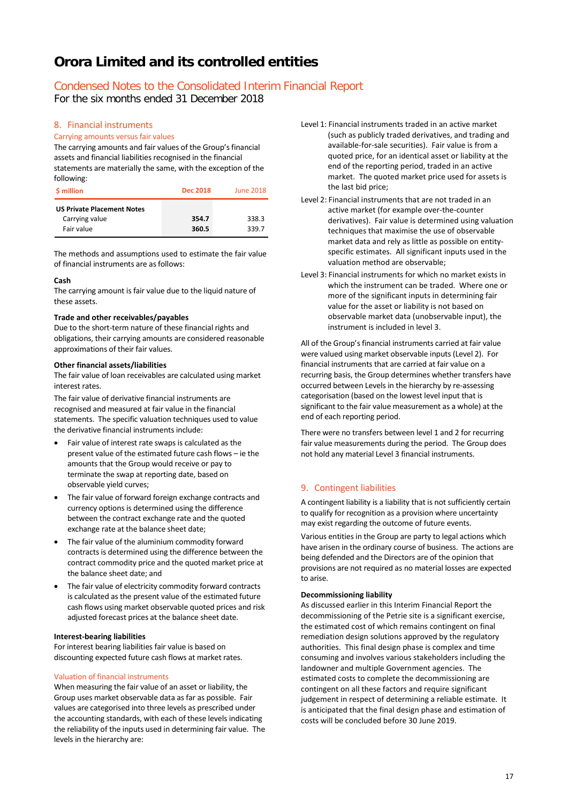### Condensed Notes to the Consolidated Interim Financial Report

For the six months ended 31 December 2018

#### 8. Financial instruments

#### Carrying amounts versus fair values

The carrying amounts and fair values of the Group's financial assets and financial liabilities recognised in the financial statements are materially the same, with the exception of the following:

| <b>S</b> million                                                  | <b>Dec 2018</b> | June 2018      |
|-------------------------------------------------------------------|-----------------|----------------|
| <b>US Private Placement Notes</b><br>Carrying value<br>Fair value | 354.7<br>360.5  | 338.3<br>339.7 |

The methods and assumptions used to estimate the fair value of financial instruments are as follows:

#### **Cash**

The carrying amount is fair value due to the liquid nature of these assets.

#### **Trade and other receivables/payables**

Due to the short-term nature of these financial rights and obligations, their carrying amounts are considered reasonable approximations of their fair values.

#### **Other financial assets/liabilities**

The fair value of loan receivables are calculated using market interest rates.

The fair value of derivative financial instruments are recognised and measured at fair value in the financial statements. The specific valuation techniques used to value the derivative financial instruments include:

- Fair value of interest rate swaps is calculated as the present value of the estimated future cash flows – ie the amounts that the Group would receive or pay to terminate the swap at reporting date, based on observable yield curves;
- The fair value of forward foreign exchange contracts and currency options is determined using the difference between the contract exchange rate and the quoted exchange rate at the balance sheet date;
- The fair value of the aluminium commodity forward contracts is determined using the difference between the contract commodity price and the quoted market price at the balance sheet date; and
- The fair value of electricity commodity forward contracts is calculated as the present value of the estimated future cash flows using market observable quoted prices and risk adjusted forecast prices at the balance sheet date.

#### **Interest-bearing liabilities**

For interest bearing liabilities fair value is based on discounting expected future cash flows at market rates.

#### Valuation of financial instruments

When measuring the fair value of an asset or liability, the Group uses market observable data as far as possible. Fair values are categorised into three levels as prescribed under the accounting standards, with each of these levels indicating the reliability of the inputs used in determining fair value. The levels in the hierarchy are:

- Level 1: Financial instruments traded in an active market (such as publicly traded derivatives, and trading and available-for-sale securities). Fair value is from a quoted price, for an identical asset or liability at the end of the reporting period, traded in an active market. The quoted market price used for assets is the last bid price;
- Level 2: Financial instruments that are not traded in an active market (for example over-the-counter derivatives). Fair value is determined using valuation techniques that maximise the use of observable market data and rely as little as possible on entityspecific estimates. All significant inputs used in the valuation method are observable;
- Level 3: Financial instruments for which no market exists in which the instrument can be traded. Where one or more of the significant inputs in determining fair value for the asset or liability is not based on observable market data (unobservable input), the instrument is included in level 3.

All of the Group's financial instruments carried at fair value were valued using market observable inputs (Level 2). For financial instruments that are carried at fair value on a recurring basis, the Group determines whether transfers have occurred between Levels in the hierarchy by re-assessing categorisation (based on the lowest level input that is significant to the fair value measurement as a whole) at the end of each reporting period.

There were no transfers between level 1 and 2 for recurring fair value measurements during the period. The Group does not hold any material Level 3 financial instruments.

### 9. Contingent liabilities

A contingent liability is a liability that is not sufficiently certain to qualify for recognition as a provision where uncertainty may exist regarding the outcome of future events.

Various entities in the Group are party to legal actions which have arisen in the ordinary course of business. The actions are being defended and the Directors are of the opinion that provisions are not required as no material losses are expected to arise.

#### **Decommissioning liability**

As discussed earlier in this Interim Financial Report the decommissioning of the Petrie site is a significant exercise, the estimated cost of which remains contingent on final remediation design solutions approved by the regulatory authorities. This final design phase is complex and time consuming and involves various stakeholders including the landowner and multiple Government agencies. The estimated costs to complete the decommissioning are contingent on all these factors and require significant judgement in respect of determining a reliable estimate. It is anticipated that the final design phase and estimation of costs will be concluded before 30 June 2019.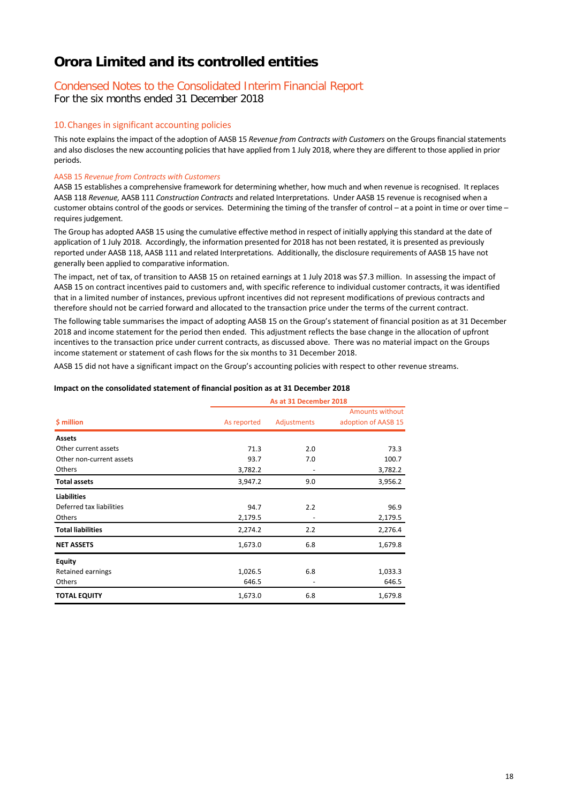## Condensed Notes to the Consolidated Interim Financial Report

For the six months ended 31 December 2018

#### 10.Changes in significant accounting policies

This note explains the impact of the adoption of AASB 15 *Revenue from Contracts with Customers* on the Groups financial statements and also discloses the new accounting policies that have applied from 1 July 2018, where they are different to those applied in prior periods.

#### AASB 15 *Revenue from Contracts with Customers*

AASB 15 establishes a comprehensive framework for determining whether, how much and when revenue is recognised. It replaces AASB 118 *Revenue,* AASB 111 *Construction Contracts* and related Interpretations. Under AASB 15 revenue is recognised when a customer obtains control of the goods or services. Determining the timing of the transfer of control – at a point in time or over time – requires judgement.

The Group has adopted AASB 15 using the cumulative effective method in respect of initially applying this standard at the date of application of 1 July 2018. Accordingly, the information presented for 2018 has not been restated, it is presented as previously reported under AASB 118, AASB 111 and related Interpretations. Additionally, the disclosure requirements of AASB 15 have not generally been applied to comparative information.

The impact, net of tax, of transition to AASB 15 on retained earnings at 1 July 2018 was \$7.3 million. In assessing the impact of AASB 15 on contract incentives paid to customers and, with specific reference to individual customer contracts, it was identified that in a limited number of instances, previous upfront incentives did not represent modifications of previous contracts and therefore should not be carried forward and allocated to the transaction price under the terms of the current contract.

The following table summarises the impact of adopting AASB 15 on the Group's statement of financial position as at 31 December 2018 and income statement for the period then ended. This adjustment reflects the base change in the allocation of upfront incentives to the transaction price under current contracts, as discussed above. There was no material impact on the Groups income statement or statement of cash flows for the six months to 31 December 2018.

AASB 15 did not have a significant impact on the Group's accounting policies with respect to other revenue streams.

#### **Impact on the consolidated statement of financial position as at 31 December 2018**

|                          |             | As at 31 December 2018 |                                        |  |  |  |
|--------------------------|-------------|------------------------|----------------------------------------|--|--|--|
| \$ million               | As reported | Adjustments            | Amounts without<br>adoption of AASB 15 |  |  |  |
| <b>Assets</b>            |             |                        |                                        |  |  |  |
| Other current assets     | 71.3        | 2.0                    | 73.3                                   |  |  |  |
| Other non-current assets | 93.7        | 7.0                    | 100.7                                  |  |  |  |
| Others                   | 3,782.2     | ٠                      | 3,782.2                                |  |  |  |
| <b>Total assets</b>      | 3,947.2     | 9.0                    | 3,956.2                                |  |  |  |
| <b>Liabilities</b>       |             |                        |                                        |  |  |  |
| Deferred tax liabilities | 94.7        | 2.2                    | 96.9                                   |  |  |  |
| Others                   | 2,179.5     |                        | 2,179.5                                |  |  |  |
| <b>Total liabilities</b> | 2,274.2     | 2.2                    | 2,276.4                                |  |  |  |
| <b>NET ASSETS</b>        | 1,673.0     | 6.8                    | 1,679.8                                |  |  |  |
| <b>Equity</b>            |             |                        |                                        |  |  |  |
| Retained earnings        | 1,026.5     | 6.8                    | 1,033.3                                |  |  |  |
| Others                   | 646.5       |                        | 646.5                                  |  |  |  |
| <b>TOTAL EQUITY</b>      | 1,673.0     | 6.8                    | 1,679.8                                |  |  |  |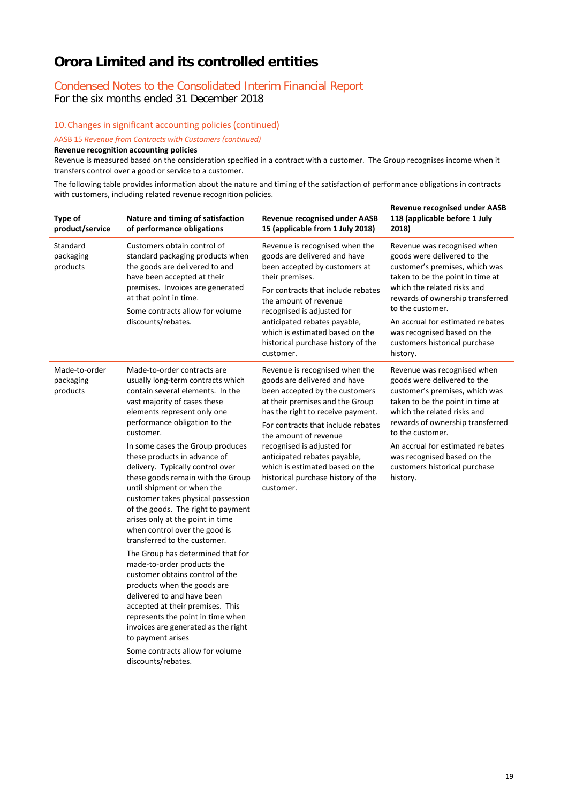# Condensed Notes to the Consolidated Interim Financial Report

For the six months ended 31 December 2018

10.Changes in significant accounting policies (continued)

AASB 15 *Revenue from Contracts with Customers (continued)*

**Revenue recognition accounting policies**

Revenue is measured based on the consideration specified in a contract with a customer. The Group recognises income when it transfers control over a good or service to a customer.

The following table provides information about the nature and timing of the satisfaction of performance obligations in contracts with customers, including related revenue recognition policies.

| <b>Type of</b><br>product/service      | Nature and timing of satisfaction<br>of performance obligations                                                                                                                                                                                                                                                                                                                                                                                                                                                                                                                                                                                                                                                                                                                                                                                                                                                                                | <b>Revenue recognised under AASB</b><br>15 (applicable from 1 July 2018)                                                                                                                                                                                                                                                                                                                    | <b>Revenue recognised under AASB</b><br>118 (applicable before 1 July<br>2018)                                                                                                                                                                                                                                                          |
|----------------------------------------|------------------------------------------------------------------------------------------------------------------------------------------------------------------------------------------------------------------------------------------------------------------------------------------------------------------------------------------------------------------------------------------------------------------------------------------------------------------------------------------------------------------------------------------------------------------------------------------------------------------------------------------------------------------------------------------------------------------------------------------------------------------------------------------------------------------------------------------------------------------------------------------------------------------------------------------------|---------------------------------------------------------------------------------------------------------------------------------------------------------------------------------------------------------------------------------------------------------------------------------------------------------------------------------------------------------------------------------------------|-----------------------------------------------------------------------------------------------------------------------------------------------------------------------------------------------------------------------------------------------------------------------------------------------------------------------------------------|
| Standard<br>packaging<br>products      | Customers obtain control of<br>standard packaging products when<br>the goods are delivered to and<br>have been accepted at their<br>premises. Invoices are generated<br>at that point in time.<br>Some contracts allow for volume<br>discounts/rebates.                                                                                                                                                                                                                                                                                                                                                                                                                                                                                                                                                                                                                                                                                        | Revenue is recognised when the<br>goods are delivered and have<br>been accepted by customers at<br>their premises.<br>For contracts that include rebates<br>the amount of revenue<br>recognised is adjusted for<br>anticipated rebates payable,<br>which is estimated based on the<br>historical purchase history of the<br>customer.                                                       | Revenue was recognised when<br>goods were delivered to the<br>customer's premises, which was<br>taken to be the point in time at<br>which the related risks and<br>rewards of ownership transferred<br>to the customer.<br>An accrual for estimated rebates<br>was recognised based on the<br>customers historical purchase<br>history. |
| Made-to-order<br>packaging<br>products | Made-to-order contracts are<br>usually long-term contracts which<br>contain several elements. In the<br>vast majority of cases these<br>elements represent only one<br>performance obligation to the<br>customer.<br>In some cases the Group produces<br>these products in advance of<br>delivery. Typically control over<br>these goods remain with the Group<br>until shipment or when the<br>customer takes physical possession<br>of the goods. The right to payment<br>arises only at the point in time<br>when control over the good is<br>transferred to the customer.<br>The Group has determined that for<br>made-to-order products the<br>customer obtains control of the<br>products when the goods are<br>delivered to and have been<br>accepted at their premises. This<br>represents the point in time when<br>invoices are generated as the right<br>to payment arises<br>Some contracts allow for volume<br>discounts/rebates. | Revenue is recognised when the<br>goods are delivered and have<br>been accepted by the customers<br>at their premises and the Group<br>has the right to receive payment.<br>For contracts that include rebates<br>the amount of revenue<br>recognised is adjusted for<br>anticipated rebates payable,<br>which is estimated based on the<br>historical purchase history of the<br>customer. | Revenue was recognised when<br>goods were delivered to the<br>customer's premises, which was<br>taken to be the point in time at<br>which the related risks and<br>rewards of ownership transferred<br>to the customer.<br>An accrual for estimated rebates<br>was recognised based on the<br>customers historical purchase<br>history. |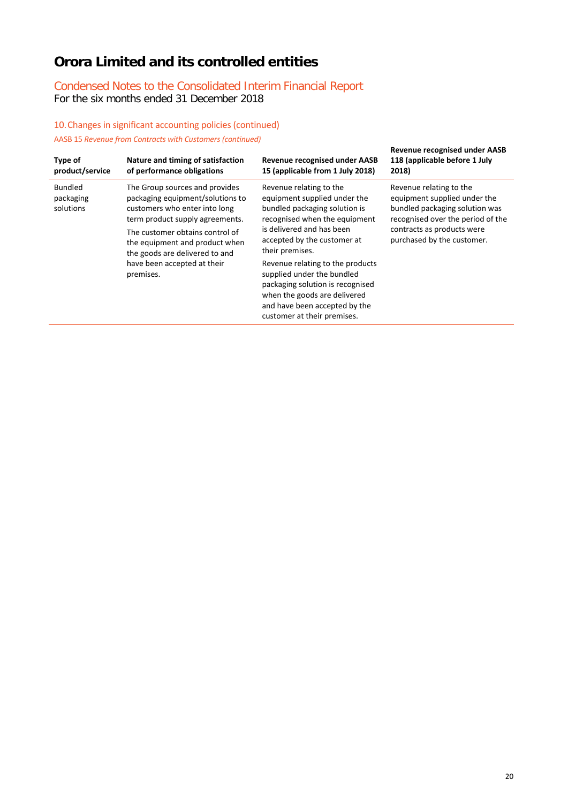### Condensed Notes to the Consolidated Interim Financial Report For the six months ended 31 December 2018

### 10.Changes in significant accounting policies (continued) AASB 15 *Revenue from Contracts with Customers (continued)*

| Type of<br>product/service               | Nature and timing of satisfaction<br>of performance obligations                                                                                                                                                                                                                           | <b>Revenue recognised under AASB</b><br>15 (applicable from 1 July 2018)                                                                                                                                                                                                                                                                                                                                       | <b>Revenue recognised under AASB</b><br>118 (applicable before 1 July<br>2018)                                                                                                             |
|------------------------------------------|-------------------------------------------------------------------------------------------------------------------------------------------------------------------------------------------------------------------------------------------------------------------------------------------|----------------------------------------------------------------------------------------------------------------------------------------------------------------------------------------------------------------------------------------------------------------------------------------------------------------------------------------------------------------------------------------------------------------|--------------------------------------------------------------------------------------------------------------------------------------------------------------------------------------------|
| <b>Bundled</b><br>packaging<br>solutions | The Group sources and provides<br>packaging equipment/solutions to<br>customers who enter into long<br>term product supply agreements.<br>The customer obtains control of<br>the equipment and product when<br>the goods are delivered to and<br>have been accepted at their<br>premises. | Revenue relating to the<br>equipment supplied under the<br>bundled packaging solution is<br>recognised when the equipment<br>is delivered and has been<br>accepted by the customer at<br>their premises.<br>Revenue relating to the products<br>supplied under the bundled<br>packaging solution is recognised<br>when the goods are delivered<br>and have been accepted by the<br>customer at their premises. | Revenue relating to the<br>equipment supplied under the<br>bundled packaging solution was<br>recognised over the period of the<br>contracts as products were<br>purchased by the customer. |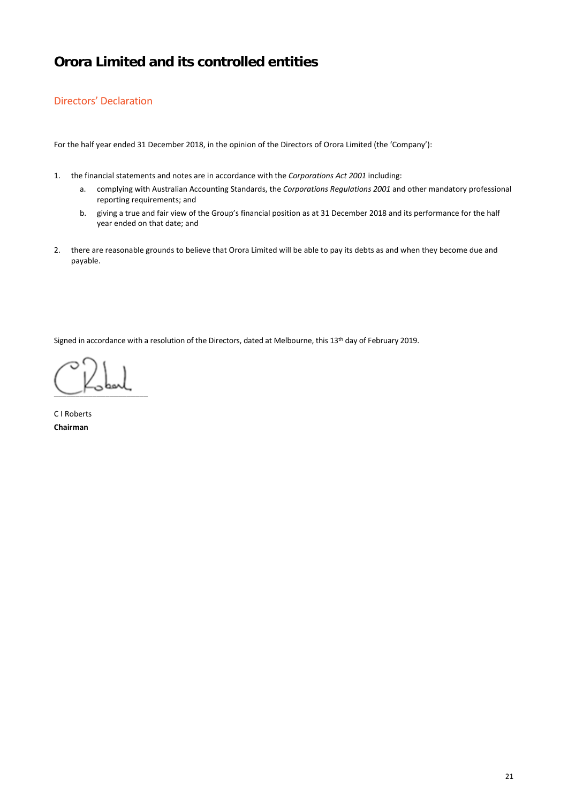### Directors' Declaration

For the half year ended 31 December 2018, in the opinion of the Directors of Orora Limited (the 'Company'):

- 1. the financial statements and notes are in accordance with the *Corporations Act 2001* including:
	- a. complying with Australian Accounting Standards, the *Corporations Regulations 2001* and other mandatory professional reporting requirements; and
	- b. giving a true and fair view of the Group's financial position as at 31 December 2018 and its performance for the half year ended on that date; and
- 2. there are reasonable grounds to believe that Orora Limited will be able to pay its debts as and when they become due and payable.

Signed in accordance with a resolution of the Directors, dated at Melbourne, this 13<sup>th</sup> day of February 2019.

 $\sim$   $\sim$   $\sim$ 

C I Roberts **Chairman**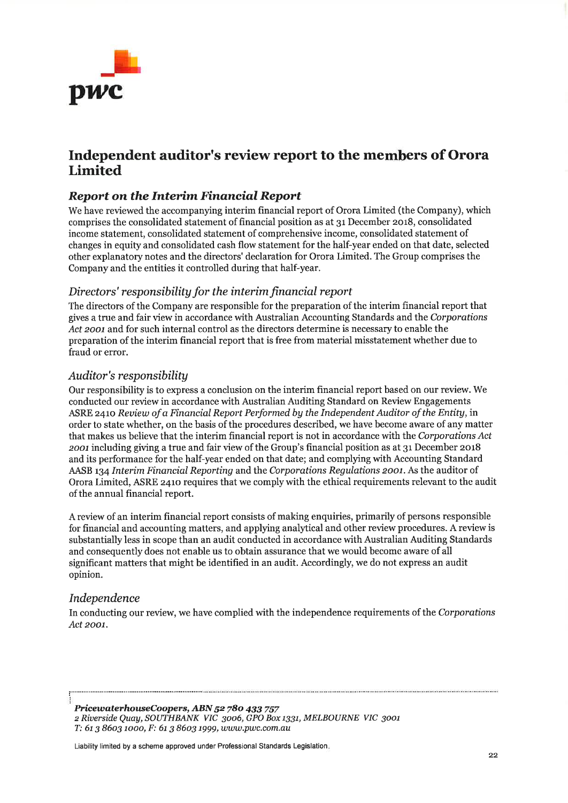

# Independent auditor's review report to the members of Orora Limited

# Report on the Interim Financial Report

We have reviewed the accompanying interim financial report of Orora Limited (the Company), which comprises the consolidated statement of financial position as at 31 December 2018, consolidated income statement, consolidated statement of comprehensive income, consolidated statement of changes in equity and consolidated cash flow statement for the half-year ended on that date, selected other explanatory notes and the directors' declaration for Orora Limited. The Group comprises the Company and the entities it controlled during that half-year.

### Directors' responsibility for the interim financial report

The directors of the Company are responsible for the preparation of the interim financial report that gives a true and fair view in accordance with Australian Accounting Standards and the Corporations Act 2001 and for such internal control as the directors determine is necessary to enable the preparation of the interim financial report that is free from material misstatement whether due to fraud or error.

### Auditor's responsibility

Our responsibility is to express a conclusion on the interim financial report based on our review. We conducted our review in accordance with Australian Auditing Standard on Review Engagements ASRE 2410 Review of a Financial Report Performed by the Independent Auditor of the Entity, in order to state whether, on the basis of the procedures described, we have become aware of any matter that makes us believe that the interim financial report is not in accordance with the Corporations Act zoor including giving a true and fair view of the Group's financial position as at 3r December zor8 and its performance for the half-year ended on that date; and complying with Accounting Standard AASB 134 Interim Financial Reporting and the Corporations Regulations 2001. As the auditor of Orora Limited, ASRE z4ro requires that we comply with the ethical requirements relevant to the audit of the annual financial report.

A review of an interim financial report consists of making enquiries, primarily of persons responsible for financial and accounting matters, and applying analytical and other review procedures. A review is substantially less in scope than an audit conducted in accordance with Australian Auditing Standards and consequently does not enable us to obtain assurance that we would become aware of all significant matters that might be identified in an audit. Accordingly, we do not express an audit opinion.

### Independence

In conducting our review, we have complied with the independence requirements of the Corporations Act 2001.

PricewaterhouseCoopers, ABN 52 780 433 757 z Riuerside Quay, SOWH BANK VIC 3oo6, GPO Box 1331, MELBOURNE VIC 3oot T: 6t 3 86o3 tooo, F: 6t 3 86o3 1999,www.pwc.com.au

Liability limited by a scheme approved under Professional Standards Legislation.